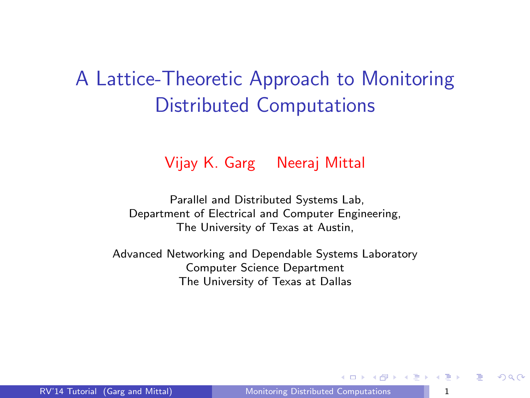## A Lattice-Theoretic Approach to Monitoring Distributed Computations

#### Vijay K. Garg Neeraj Mittal

Parallel and Distributed Systems Lab, Department of Electrical and Computer Engineering, The University of Texas at Austin,

Advanced Networking and Dependable Systems Laboratory Computer Science Department The University of Texas at Dallas

イロト イ押 トイヨ トイヨ トー

<span id="page-0-0"></span> $\equiv$   $\Omega$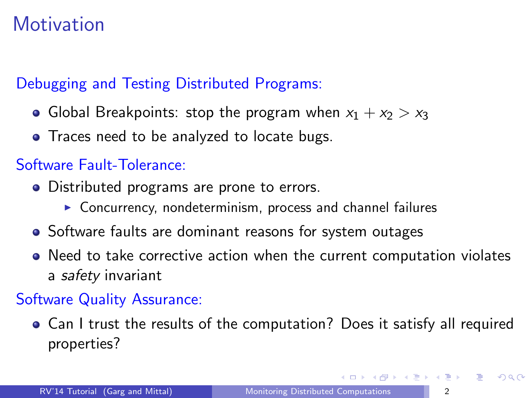## **Motivation**

#### Debugging and Testing Distributed Programs:

- Global Breakpoints: stop the program when  $x_1 + x_2 > x_3$
- Traces need to be analyzed to locate bugs.

#### Software Fault-Tolerance:

- Distributed programs are prone to errors.
	- $\triangleright$  Concurrency, nondeterminism, process and channel failures
- Software faults are dominant reasons for system outages
- Need to take corrective action when the current computation violates a safety invariant

#### Software Quality Assurance:

Can I trust the results of the computation? Does it satisfy all required properties?

→ 重 トー

<span id="page-1-0"></span> $\equiv$   $\Omega$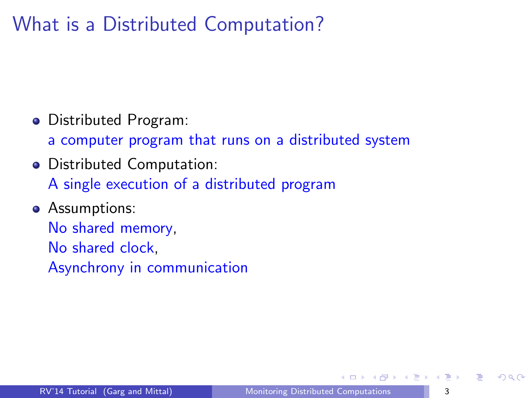#### What is a Distributed Computation?

- **o** Distributed Program:
	- a computer program that runs on a distributed system
- Distributed Computation:
	- A single execution of a distributed program
- **•** Assumptions:

No shared memory, No shared clock, Asynchrony in communication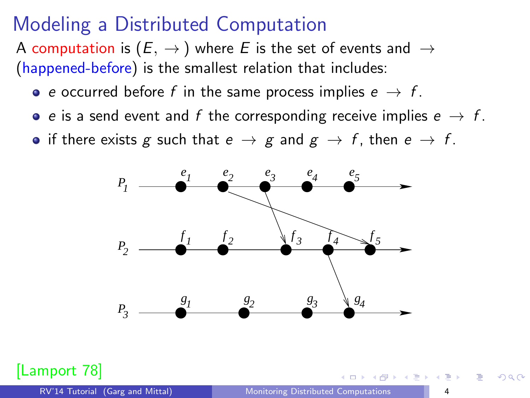### Modeling a Distributed Computation

A computation is  $(E, \rightarrow)$  where E is the set of events and  $\rightarrow$ (happened-before) is the smallest relation that includes:

- e occurred before f in the same process implies  $e \rightarrow f$ .
- e is a send event and f the corresponding receive implies  $e \rightarrow f$ .
- if there exists g such that  $e \rightarrow g$  and  $g \rightarrow f$ , then  $e \rightarrow f$ .



#### [Lamport 78]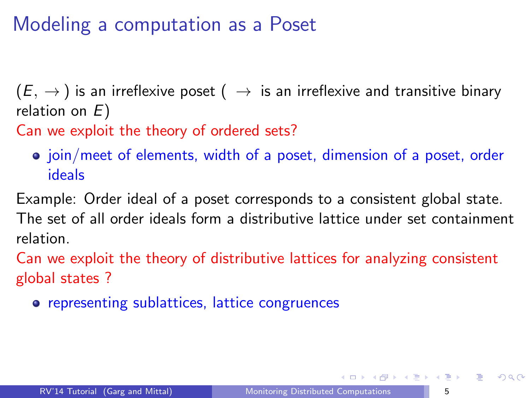#### Modeling a computation as a Poset

 $(E, \rightarrow)$  is an irreflexive poset (  $\rightarrow$  is an irreflexive and transitive binary relation on  $E$ )

Can we exploit the theory of ordered sets?

• join/meet of elements, width of a poset, dimension of a poset, order ideals

Example: Order ideal of a poset corresponds to a consistent global state. The set of all order ideals form a distributive lattice under set containment relation.

Can we exploit the theory of distributive lattices for analyzing consistent global states ?

• representing sublattices, lattice congruences

<span id="page-4-0"></span>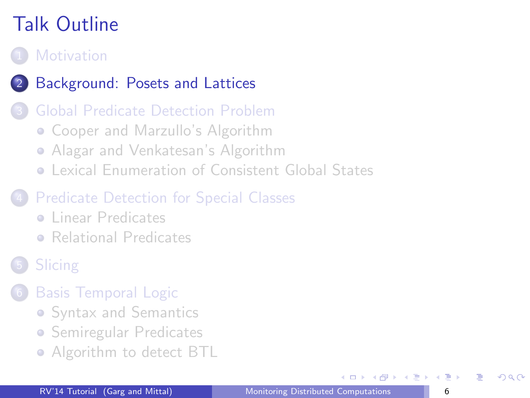# Talk Outline

#### **[Motivation](#page-1-0)**

#### 2 [Background: Posets and Lattices](#page-5-0)

- **[Global Predicate Detection Problem](#page-17-0)** 
	- [Cooper and Marzullo's Algorithm](#page-24-0)
	- [Alagar and Venkatesan's Algorithm](#page-28-0)
	- **[Lexical Enumeration of Consistent Global States](#page-29-0)**
- **[Predicate Detection for Special Classes](#page-36-0)** 
	- **Collinear Predicates**
	- **[Relational Predicates](#page-58-0)**

### **[Slicing](#page-72-0)**

- 6 [Basis Temporal Logic](#page-72-0)
	- [Syntax and Semantics](#page-74-0)
	- **[Semiregular Predicates](#page-80-0)**
	- [Algorithm to detect BTL](#page-84-0)

<span id="page-5-0"></span>つひひ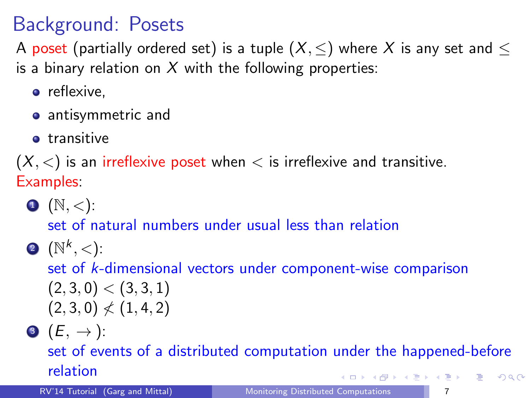## Background: Posets

A poset (partially ordered set) is a tuple  $(X, \leq)$  where X is any set and  $\leq$ is a binary relation on  $X$  with the following properties:

- **•** reflexive.
- antisymmetric and
- **o** transitive

 $(X, <)$  is an irreflexive poset when  $<$  is irreflexive and transitive. Examples:

 $\bullet$   $(N, <)$ :

set of natural numbers under usual less than relation

- $\textbf{2}$   $(\mathbb{N}^k, <)$ : set of k-dimensional vectors under component-wise comparison  $(2, 3, 0) < (3, 3, 1)$  $(2, 3, 0) \nless (1, 4, 2)$
- $\bullet$   $(E, \rightarrow)$ :

set of events of a distributed computation under the happened-before relation  $A \equiv A$   $B$   $A \cap A$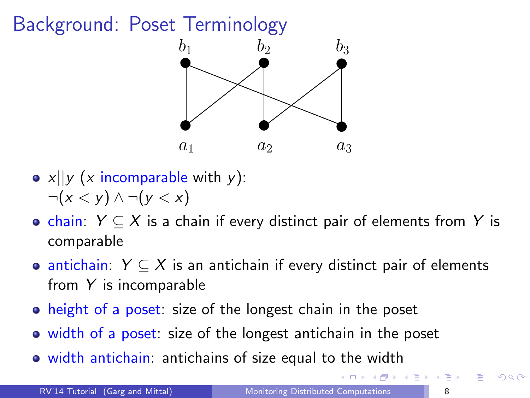#### Background: Poset Terminology



- $x||y(x)$  incomparable with y):  $\neg(x < y) \land \neg(y < x)$
- chain:  $Y \subseteq X$  is a chain if every distinct pair of elements from Y is comparable
- antichain:  $Y \subseteq X$  is an antichain if every distinct pair of elements from Y is incomparable
- height of a poset: size of the longest chain in the poset
- width of a poset: size of the longest antichain in the poset
- width antichain: antichains of size equal to the width

 $QQ$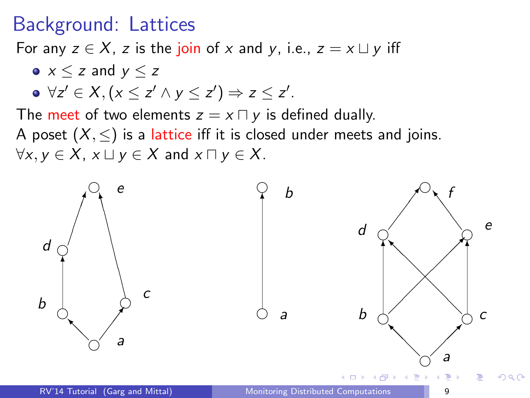#### Background: Lattices

For any  $z \in X$ , z is the join of x and y, i.e.,  $z = x \sqcup y$  iff

- $\bullet x \leq z$  and  $y \leq z$
- $\forall z' \in X, (x \leq z' \land y \leq z') \Rightarrow z \leq z'.$

The meet of two elements  $z = x \square y$  is defined dually. A poset  $(X, \leq)$  is a lattice iff it is closed under meets and joins.  $\forall x, y \in X$ ,  $x \sqcup y \in X$  and  $x \sqcap y \in X$ .

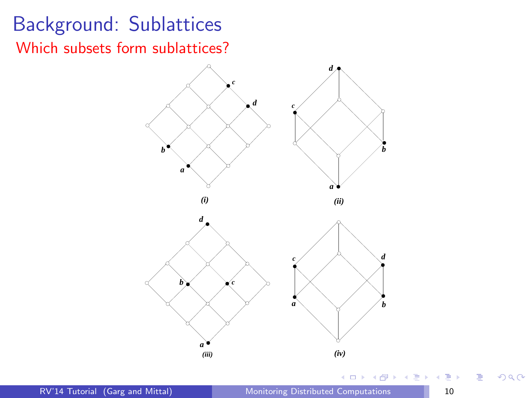#### Background: Sublattices Which subsets form sublattices?



 $\Box$ 

Þ

メス 悪き

 $299$ 

Þ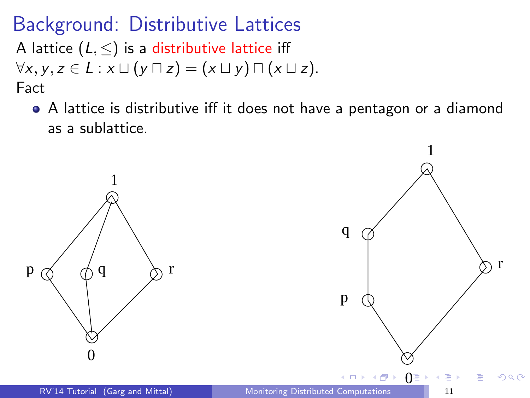#### Background: Distributive Lattices

A lattice  $(L, \leq)$  is a distributive lattice iff  $\forall x, y, z \in L: x \sqcup (y \sqcap z) = (x \sqcup y) \sqcap (x \sqcup z).$ Fact

A lattice is distributive iff it does not have a pentagon or a diamond as a sublattice.

<span id="page-10-0"></span>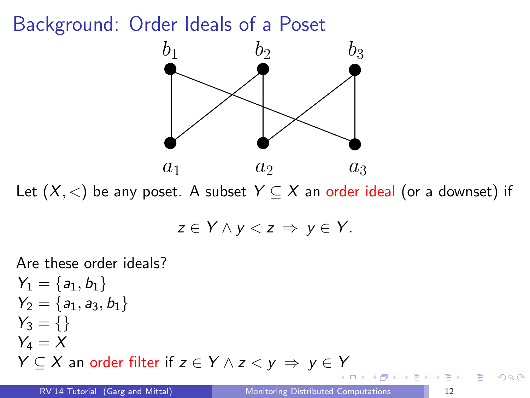#### Background: Order Ideals of a Poset



Let  $(X, \leq)$  be any poset. A subset  $Y \subseteq X$  an order ideal (or a downset) if

$$
z\in Y\wedge y
$$

Are these order ideals?

 $Y_1 = \{a_1, b_1\}$  $Y_2 = \{a_1, a_3, b_1\}$  $Y_3 = \{\}$  $Y_4 = X$  $Y \subseteq X$  $Y \subseteq X$  an order filter if  $z \in Y \land z < y \Rightarrow y \in Y$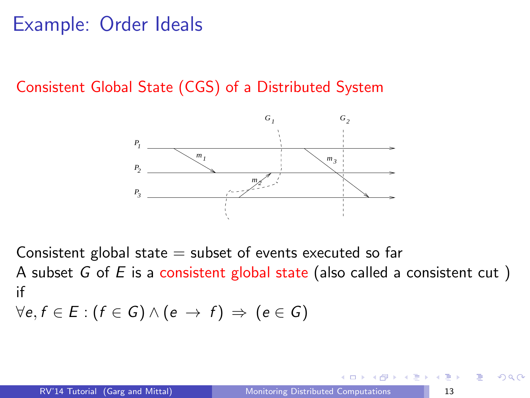#### Example: Order Ideals

Consistent Global State (CGS) of a Distributed System



Consistent global state  $=$  subset of events executed so far A subset  $G$  of  $E$  is a consistent global state (also called a consistent cut) if

$$
\forall e, f \in E : (f \in G) \land (e \rightarrow f) \Rightarrow (e \in G)
$$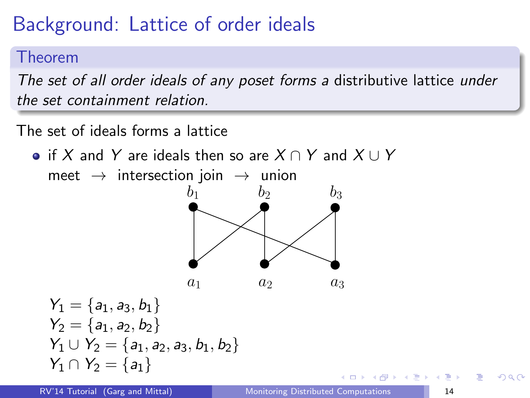# Background: Lattice of order ideals

#### Theorem

The set of all order ideals of any poset forms a distributive lattice under the set containment relation.

The set of ideals forms a lattice

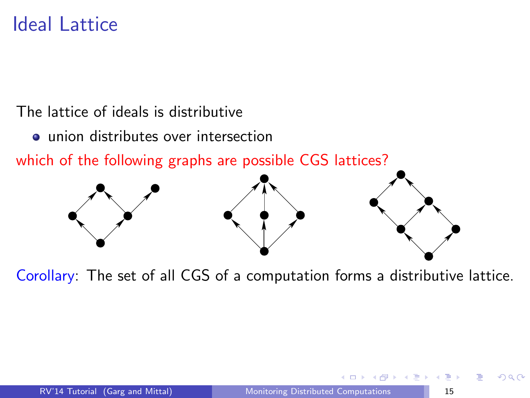#### Ideal Lattice

The lattice of ideals is distributive

**•** union distributes over intersection

which of the following graphs are possible CGS lattices?



Corollary: The set of all CGS of a computation forms a distributive lattice.

<span id="page-14-0"></span>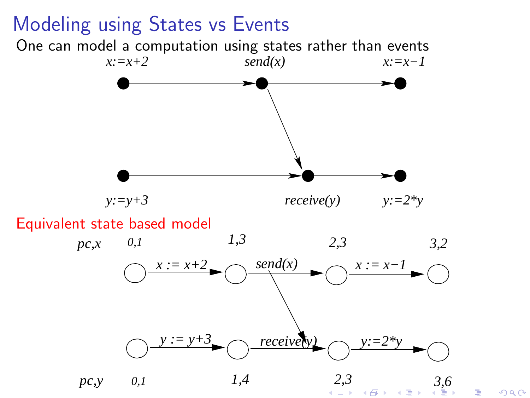

 $2Q$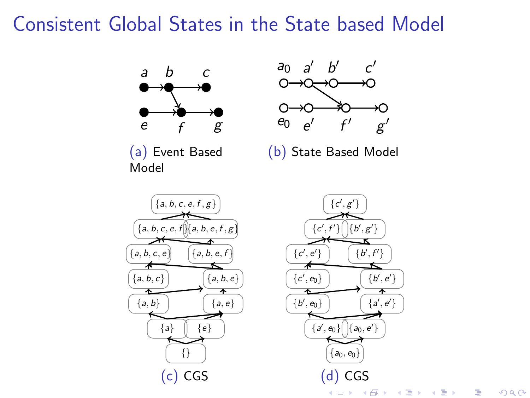#### Consistent Global States in the State based Model



(a) Event Based Model



(b) State Based Model

<span id="page-16-0"></span>



 $299$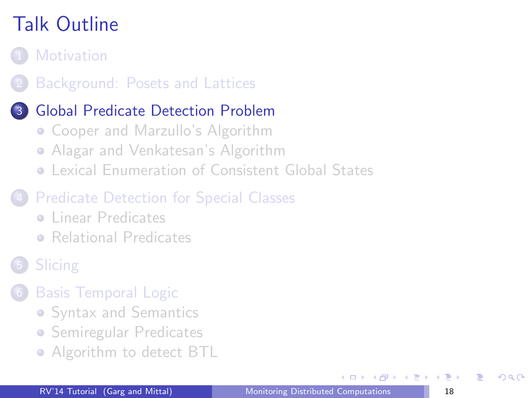# Talk Outline

- **[Motivation](#page-1-0)**
- 2 [Background: Posets and Lattices](#page-5-0)

#### **[Global Predicate Detection Problem](#page-17-0)**

- [Cooper and Marzullo's Algorithm](#page-24-0)
- [Alagar and Venkatesan's Algorithm](#page-28-0)
- **[Lexical Enumeration of Consistent Global States](#page-29-0)**
- **[Predicate Detection for Special Classes](#page-36-0)** 
	- **Collinear Predicates**
	- **[Relational Predicates](#page-58-0)**

### **[Slicing](#page-72-0)**

- 6 [Basis Temporal Logic](#page-72-0)
	- [Syntax and Semantics](#page-74-0)
	- **[Semiregular Predicates](#page-80-0)**
	- [Algorithm to detect BTL](#page-84-0)

<span id="page-17-0"></span>つひひ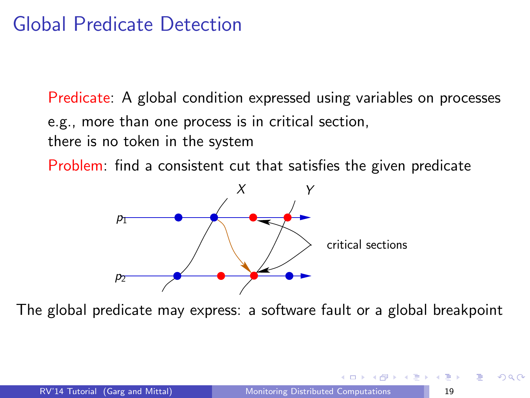#### Global Predicate Detection

Predicate: A global condition expressed using variables on processes e.g., more than one process is in critical section, there is no token in the system

Problem: find a consistent cut that satisfies the given predicate



The global predicate may express: a software fault or a global breakpoint

つへへ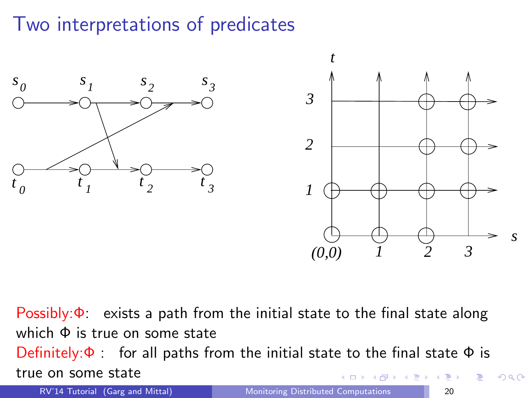## Two interpretations of predicates



Possibly:Φ: exists a path from the initial state to the final state along which Φ is true on some state Definitely: $\Phi$  : for all paths from the initial state to the final state  $\Phi$  is true on some state

 $QQ$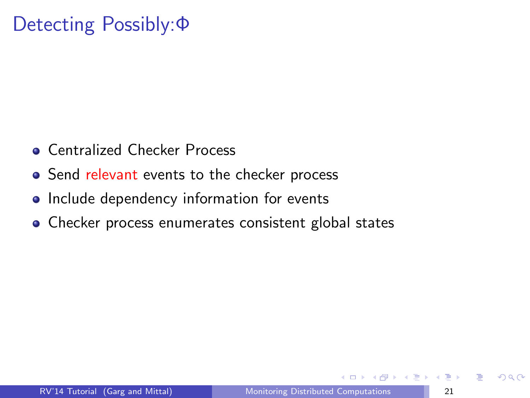#### Detecting Possibly:Φ

- **Centralized Checker Process**
- Send relevant events to the checker process
- Include dependency information for events
- Checker process enumerates consistent global states

<span id="page-20-0"></span>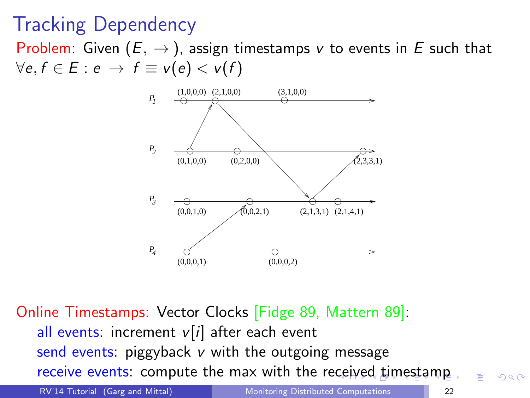## Tracking Dependency

Problem: Given  $(E, \rightarrow)$ , assign timestamps v to events in E such that  $\forall e, f \in E : e \rightarrow f \equiv v(e) < v(f)$ 



Online Timestamps: Vector Clocks [Fidge 89, Mattern 89]: all events: increment  $v[i]$  after each event send events: piggyback v with the outgoing message receive events: compute the max with the re[cei](#page-20-0)[ve](#page-22-0)[d](#page-20-0) [ti](#page-21-0)[m](#page-22-0)[e](#page-16-0)[s](#page-17-0)[t](#page-23-0)[a](#page-24-0)[m](#page-16-0)[p](#page-17-0)

Α

<span id="page-21-0"></span> $QQ$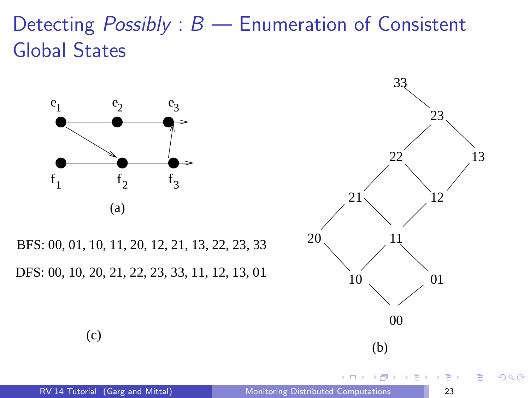## Detecting  $Possibly : B \longrightarrow$  Enumeration of Consistent Global States



BFS: 00, 01, 10, 11, 20, 12, 21, 13, 22, 23, 33 DFS: 00, 10, 20, 21, 22, 23, 33, 11, 12, 13, 01



(c)

<span id="page-22-0"></span>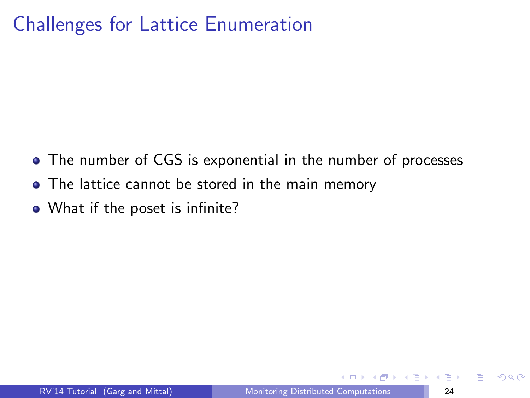### Challenges for Lattice Enumeration

- The number of CGS is exponential in the number of processes
- The lattice cannot be stored in the main memory
- What if the poset is infinite?

Э×

<span id="page-23-0"></span> $QQ$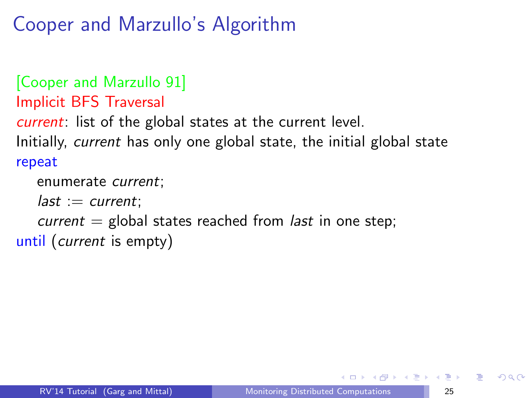Cooper and Marzullo's Algorithm

```
[Cooper and Marzullo 91]
Implicit BFS Traversal
current: list of the global states at the current level.
Initially, current has only one global state, the initial global state
repeat
   enumerate current;
   last := current;
```
current  $=$  global states reached from *last* in one step;

until (current is empty)

 $\mathbb{B}$  is

<span id="page-24-0"></span> $QQ$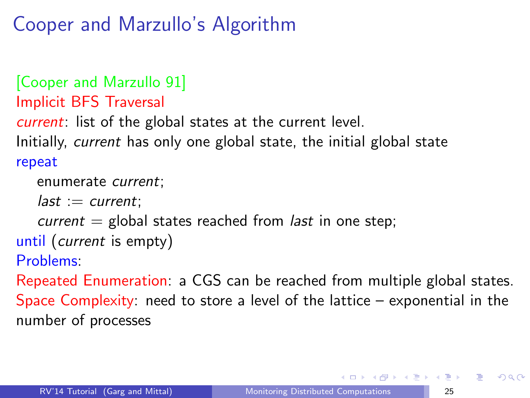Cooper and Marzullo's Algorithm

```
[Cooper and Marzullo 91]
Implicit BFS Traversal
current: list of the global states at the current level.
Initially, current has only one global state, the initial global state
repeat
   enumerate current;
   last := current:
   current = global states reached from last in one step;
until (current is empty)
Problems:
```
Repeated Enumeration: a CGS can be reached from multiple global states. Space Complexity: need to store a level of the lattice – exponential in the number of processes

**A Braker**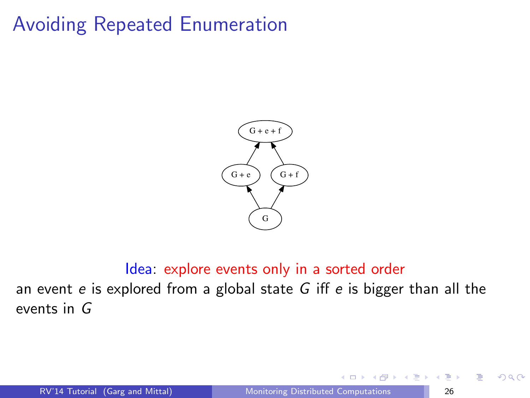## Avoiding Repeated Enumeration



#### Idea: explore events only in a sorted order

an event e is explored from a global state  $G$  iff e is bigger than all the events in G

<span id="page-26-0"></span>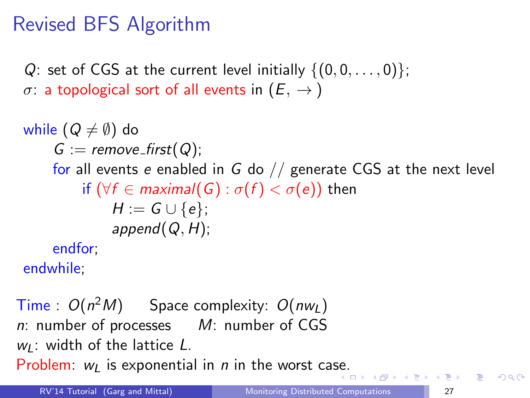## Revised BFS Algorithm

Q: set of CGS at the current level initially  $\{(0, 0, \ldots, 0)\};$ σ: a topological sort of all events in  $(E, \rightarrow)$ 

```
while (Q \neq \emptyset) do
     G := remove_first(Q);
     for all events e enabled in G do // generate CGS at the next level
          if (\forall f \in maximal(G) : \sigma(f) < \sigma(e)) then
               H := G \cup \{e\};append(Q, H);
     endfor;
endwhile;
```
Time :  $O(n^2M)$  Space complexity:  $O(nw_L)$ n: number of processes M: number of CGS  $w_l$ : width of the lattice L. Problem:  $w_l$  is exponential in n in the worst ca[se.](#page-26-0) 4 FD + E + + E + + F + + OQ O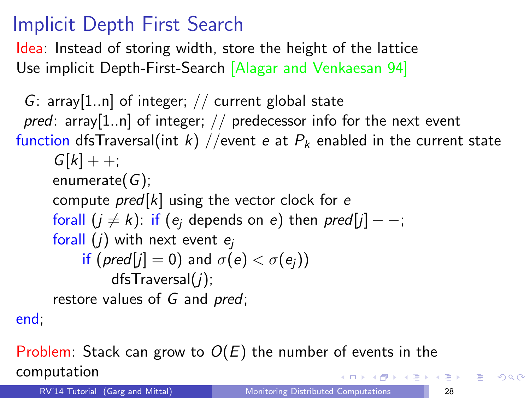## Implicit Depth First Search

Idea: Instead of storing width, store the height of the lattice Use implicit Depth-First-Search [Alagar and Venkaesan 94]

```
G: array [1..n] of integer; // current global state
 pred: array[1..n] of integer; // predecessor info for the next event
function dfsTraversal(int k) //event e at P_k enabled in the current state
      G[k] + +;enumerate(G);
      compute pred[k] using the vector clock for e
      forall (j \neq k): if (e<sub>i</sub> depends on e) then pred[j] – –;
      forall (j) with next event e_iif (pred[j] = 0) and \sigma(e) < \sigma(e_i))
               dfsTraversal(i);restore values of G and pred;
end;
```
Problem: Stack can grow to  $O(E)$  the number of events in the computation **KORKA ERKER ADA YOUR** 

<span id="page-28-0"></span>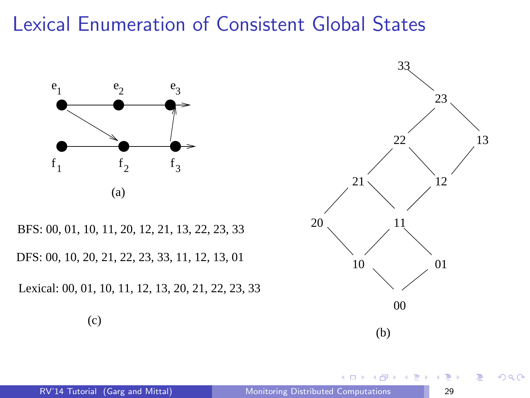#### Lexical Enumeration of Consistent Global States



BFS: 00, 01, 10, 11, 20, 12, 21, 13, 22, 23, 33 DFS: 00, 10, 20, 21, 22, 23, 33, 11, 12, 13, 01 Lexical: 00, 01, 10, 11, 12, 13, 20, 21, 22, 23, 33

(c)



<span id="page-29-0"></span>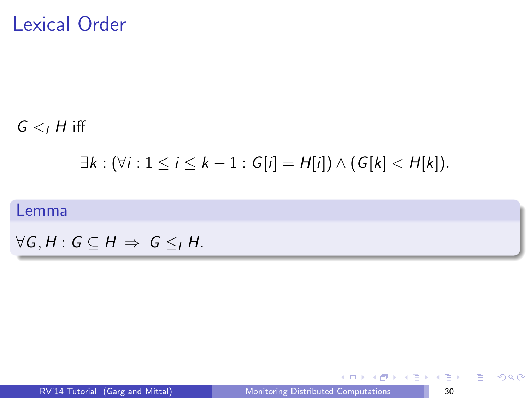#### Lexical Order

 $G \lt_l H$  iff

$$
\exists k : (\forall i : 1 \leq i \leq k-1 : G[i] = H[i]) \wedge (G[k] < H[k]).
$$

Lemma

 $\forall G, H : G \subseteq H \Rightarrow G \leq H$ .

4 0 8

→ 個 ▶ → ヨ ▶ → ヨ ▶ │ ヨ │ ◆ 9 Q ⊙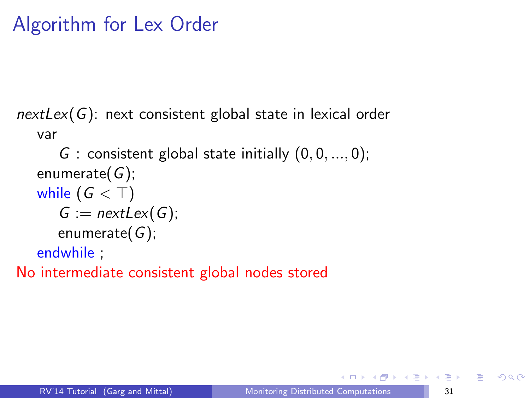### Algorithm for Lex Order

 $nextLex(G)$ : next consistent global state in lexical order var

 $G$  : consistent global state initially  $(0, 0, ..., 0)$ ; enumerate $(G)$ ; while  $(G < \top)$  $G := nextLex(G);$ enumerate $(G)$ ; endwhile ; No intermediate consistent global nodes stored

 $\mathbb{B}$  is

 $QQQ$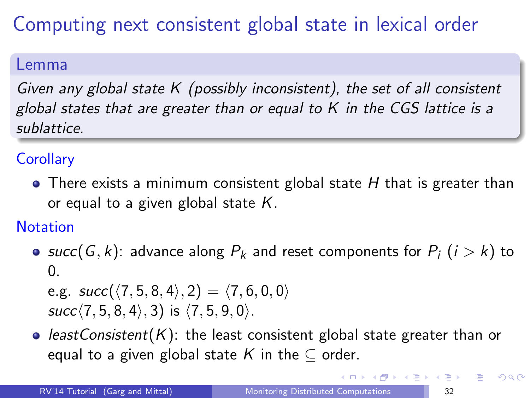# Computing next consistent global state in lexical order

#### Lemma

Given any global state  $K$  (possibly inconsistent), the set of all consistent global states that are greater than or equal to  $K$  in the CGS lattice is a sublattice.

#### **Corollary**

 $\bullet$  There exists a minimum consistent global state H that is greater than or equal to a given global state  $K$ .

#### **Notation**

• succ(G, k): advance along  $P_k$  and reset components for  $P_i$  ( $i > k$ ) to  $\theta$ . e.g.  $succ(\langle 7, 5, 8, 4 \rangle, 2) = \langle 7, 6, 0, 0 \rangle$ 

 $succ(7, 5, 8, 4), 3$  is  $(7, 5, 9, 0)$ .

• least Consistent  $(K)$ : the least consistent global state greater than or equal to a given global state K in the  $\subset$  order.

**A British** 

G.

 $QQ$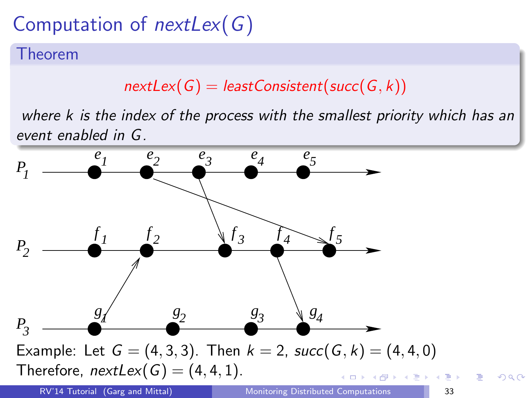# Computation of  $nextLex(G)$

#### Theorem

$$
nextLex(G) = leastConsistent(succ(G, k))
$$

where k is the index of the process with the smallest priority which has an event enabled in G.

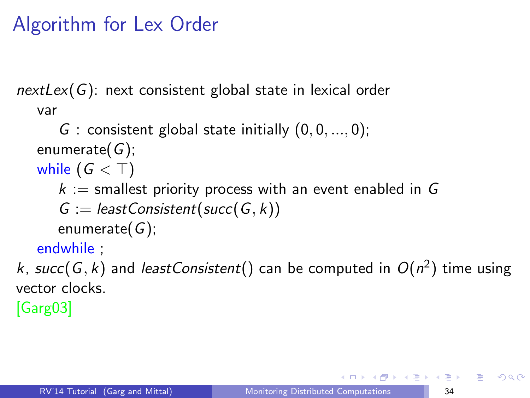## Algorithm for Lex Order

 $nextLex(G)$ : next consistent global state in lexical order var

G : consistent global state initially  $(0, 0, ..., 0)$ ; enumerate $(G)$ ; while  $(G < \top)$  $k :=$  smallest priority process with an event enabled in G  $G :=$  least Consistent (succ( $G, k$ )) enumerate $(G)$ ; endwhile ; k, succ $(G, k)$  and leastConsistent() can be computed in  $O(n^2)$  time using

vector clocks.

[Garg03]

**A Braker**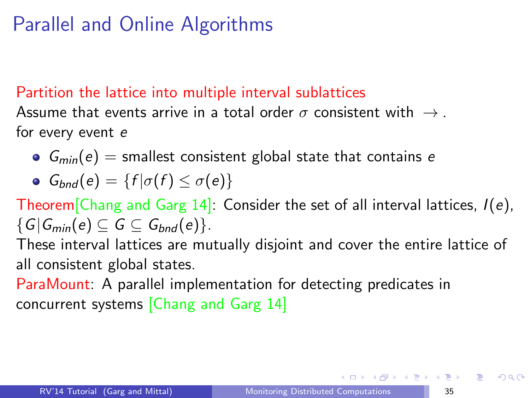### Parallel and Online Algorithms

#### Partition the lattice into multiple interval sublattices

Assume that events arrive in a total order  $\sigma$  consistent with  $\rightarrow$ . for every event e

 $G_{min}(e)$  = smallest consistent global state that contains e

$$
\bullet \ \ G_{bnd}(e) = \{f | \sigma(f) \leq \sigma(e)\}
$$

Theorem [Chang and Garg 14]: Consider the set of all interval lattices,  $I(e)$ ,  $\{G|G_{min}(e) \subset G \subset G_{bnd}(e)\}.$ 

These interval lattices are mutually disjoint and cover the entire lattice of all consistent global states.

ParaMount: A parallel implementation for detecting predicates in concurrent systems [Chang and Garg 14]

<span id="page-35-0"></span>

**KORKA ERKER ADA YOUR**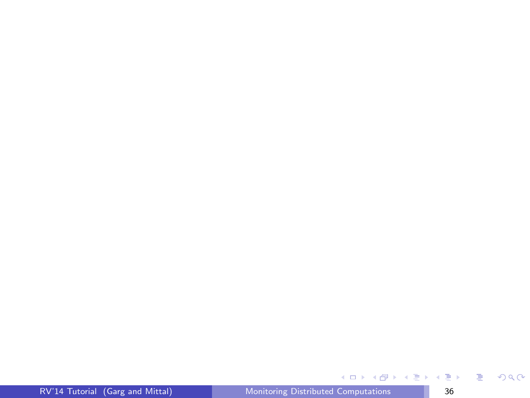<span id="page-36-0"></span>

イロト (個) (量) (量) (量) 量 のQQ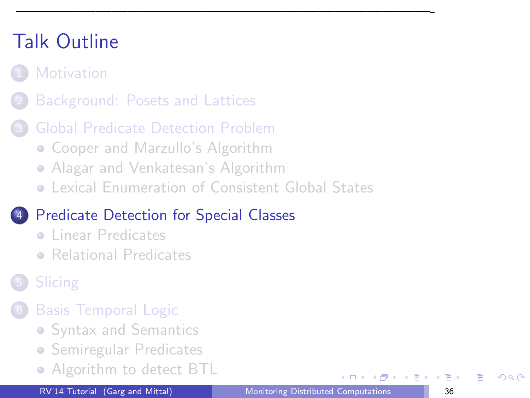# Talk Outline

### **[Motivation](#page-1-0)**

- 2 [Background: Posets and Lattices](#page-5-0)
- **[Global Predicate Detection Problem](#page-17-0)** 
	- **[Cooper and Marzullo's Algorithm](#page-24-0)**
	- [Alagar and Venkatesan's Algorithm](#page-28-0)
	- **[Lexical Enumeration of Consistent Global States](#page-29-0)**

——————————————————————————-

### [Predicate Detection for Special Classes](#page-36-0)

- **Collinear Predicates**
- **[Relational Predicates](#page-58-0)**
- 
- 6 [Basis Temporal Logic](#page-72-0)
	- **•** [Syntax and Semantics](#page-74-0)
	- **[Semiregular Predicates](#page-80-0)**
	- [Algorithm to detect BTL](#page-84-0)

RV'14 Tutorial (Garg and Mittal) [Monitoring Distributed Computations](#page-0-0) 36

つひひ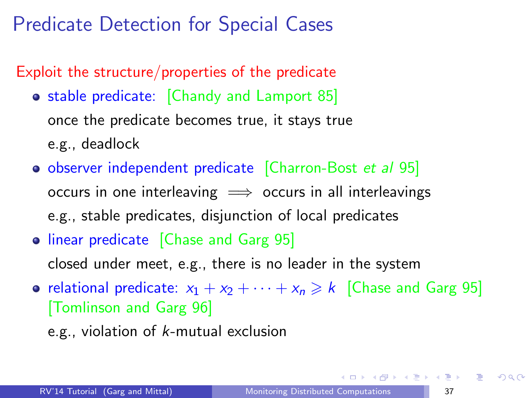## Predicate Detection for Special Cases

#### Exploit the structure/properties of the predicate

- **o** stable predicate: [Chandy and Lamport 85] once the predicate becomes true, it stays true e.g., deadlock
- **o** observer independent predicate [Charron-Bost et al 95] occurs in one interleaving  $\implies$  occurs in all interleavings e.g., stable predicates, disjunction of local predicates
- linear predicate [Chase and Garg 95] closed under meet, e.g., there is no leader in the system
- relational predicate:  $x_1 + x_2 + \cdots + x_n \ge k$  [Chase and Garg 95] [Tomlinson and Garg 96]
	- e.g., violation of k-mutual exclusion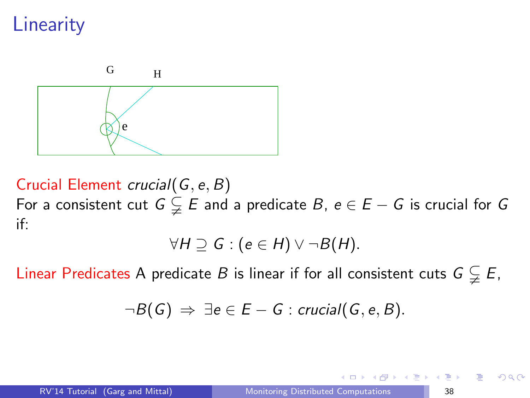## **Linearity**



Crucial Element crucial(G, e, B) For a consistent cut  $G \subsetneq E$  and a predicate B,  $e \in E - G$  is crucial for G if:

$$
\forall H\supseteq G:(e\in H)\vee\neg B(H).
$$

Linear Predicates A predicate B is linear if for all consistent cuts  $G \subsetneq E$ ,

$$
\neg B(G) \Rightarrow \exists e \in E - G : crucial(G, e, B).
$$

<span id="page-39-0"></span>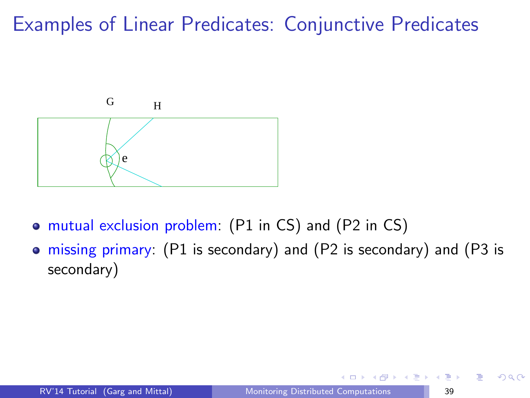### Examples of Linear Predicates: Conjunctive Predicates



- mutual exclusion problem: (P1 in CS) and (P2 in CS)
- missing primary: (P1 is secondary) and (P2 is secondary) and (P3 is secondary)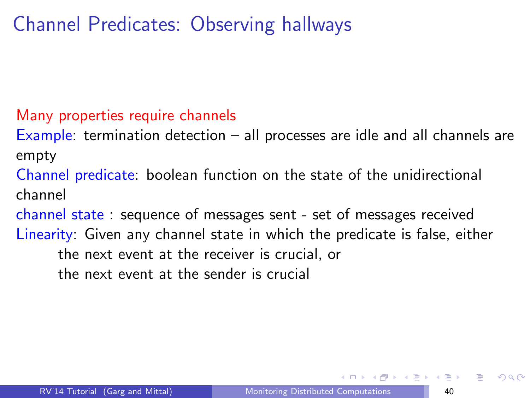#### Many properties require channels

Example: termination detection – all processes are idle and all channels are empty

Channel predicate: boolean function on the state of the unidirectional channel

channel state : sequence of messages sent - set of messages received

Linearity: Given any channel state in which the predicate is false, either the next event at the receiver is crucial, or

the next event at the sender is crucial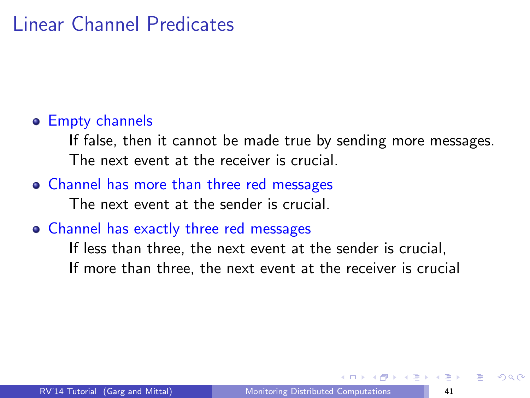## Linear Channel Predicates

#### **•** Empty channels

If false, then it cannot be made true by sending more messages. The next event at the receiver is crucial.

- Channel has more than three red messages The next event at the sender is crucial.
- Channel has exactly three red messages

If less than three, the next event at the sender is crucial, If more than three, the next event at the receiver is crucial

つへへ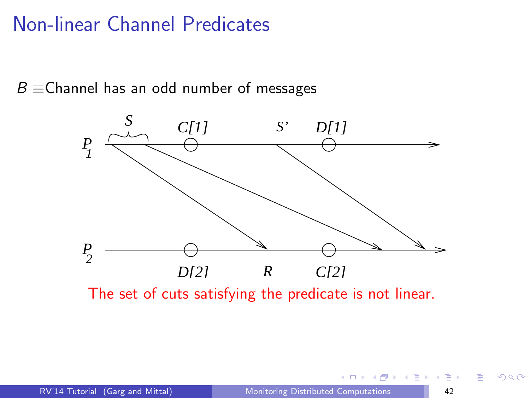### Non-linear Channel Predicates

 $B \equiv$ Channel has an odd number of messages



The set of cuts satisfying the predicate is not linear.

э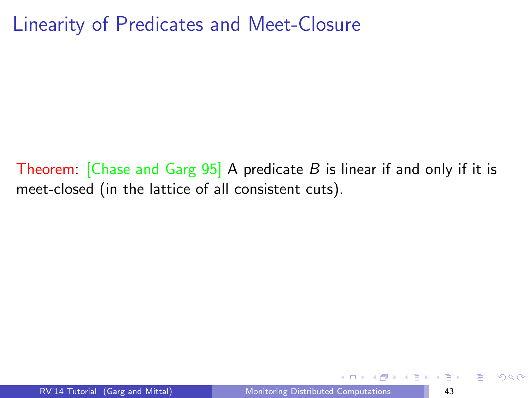Linearity of Predicates and Meet-Closure

Theorem: [Chase and Garg  $95$ ] A predicate B is linear if and only if it is meet-closed (in the lattice of all consistent cuts).

不重 的人

 $\equiv$   $\Omega$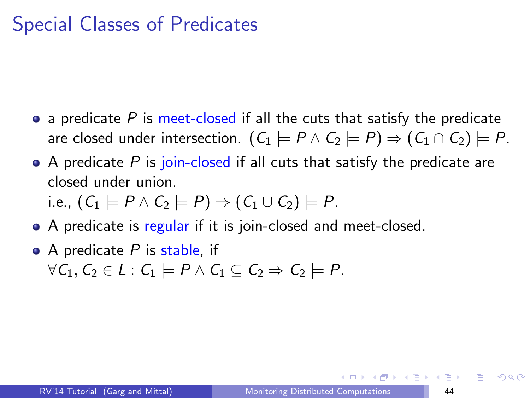## Special Classes of Predicates

- a predicate  $P$  is meet-closed if all the cuts that satisfy the predicate are closed under intersection.  $(C_1 \models P \land C_2 \models P) \Rightarrow (C_1 \cap C_2) \models P$ .
- $\bullet$  A predicate P is join-closed if all cuts that satisfy the predicate are closed under union.
	- i.e.,  $(C_1 \models P \land C_2 \models P) \Rightarrow (C_1 \cup C_2) \models P$ .
- A predicate is regular if it is join-closed and meet-closed.
- $\bullet$  A predicate P is stable, if  $\forall C_1, C_2 \in L : C_1 \models P \wedge C_1 \subseteq C_2 \Rightarrow C_2 \models P$ .

不重 的人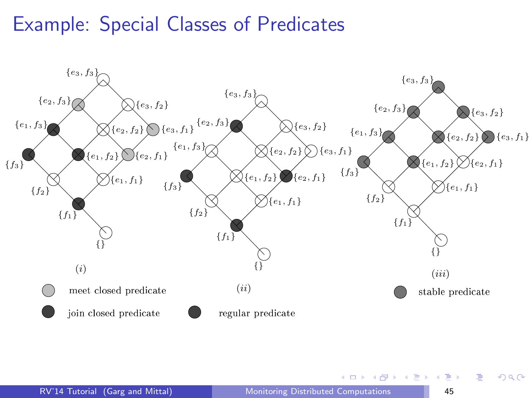## Example: Special Classes of Predicates

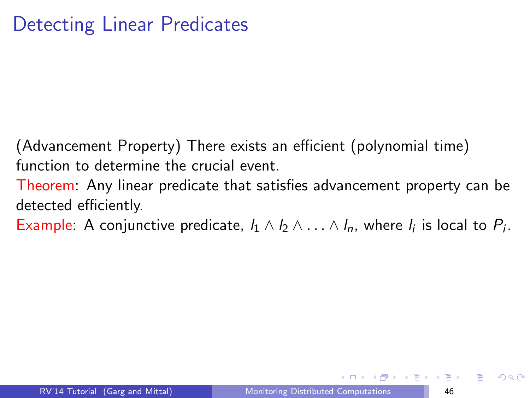(Advancement Property) There exists an efficient (polynomial time) function to determine the crucial event.

Theorem: Any linear predicate that satisfies advancement property can be detected efficiently.

Example: A conjunctive predicate,  $l_1 \wedge l_2 \wedge \ldots \wedge l_n$ , where  $l_i$  is local to  $P_i$ .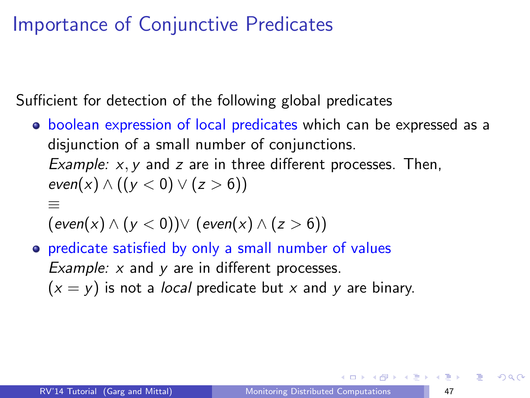## Importance of Conjunctive Predicates

Sufficient for detection of the following global predicates

**o** boolean expression of local predicates which can be expressed as a disjunction of a small number of conjunctions. Example:  $x, y$  and  $z$  are in three different processes. Then,  $even(x) \wedge ((y < 0) \vee (z > 6))$ ≡

 $(even(x) \wedge (y < 0)) \vee (even(x) \wedge (z > 6))$ 

predicate satisfied by only a small number of values Example:  $x$  and  $y$  are in different processes.  $(x = y)$  is not a *local* predicate but x and y are binary.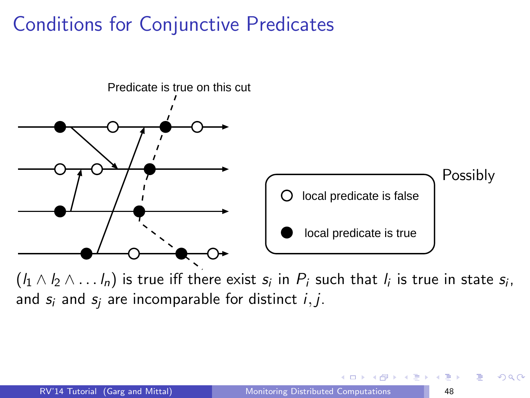## Conditions for Conjunctive Predicates



 $(l_1 \wedge l_2 \wedge \ldots l_n)$  is true iff there exist  $s_i$  in  $P_i$  such that  $l_i$  is true in state  $s_i$ , and  $s_i$  and  $s_i$  are incomparable for distinct  $i, j$ .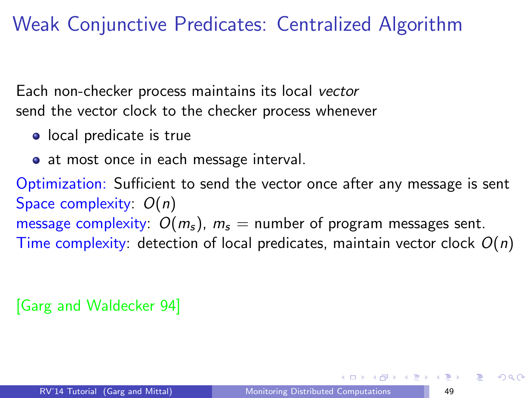## Weak Conjunctive Predicates: Centralized Algorithm

Each non-checker process maintains its local vector send the vector clock to the checker process whenever

- local predicate is true
- at most once in each message interval.

Optimization: Sufficient to send the vector once after any message is sent Space complexity:  $O(n)$ 

message complexity:  $O(m_s)$ ,  $m_s =$  number of program messages sent.

Time complexity: detection of local predicates, maintain vector clock  $O(n)$ 

#### [Garg and Waldecker 94]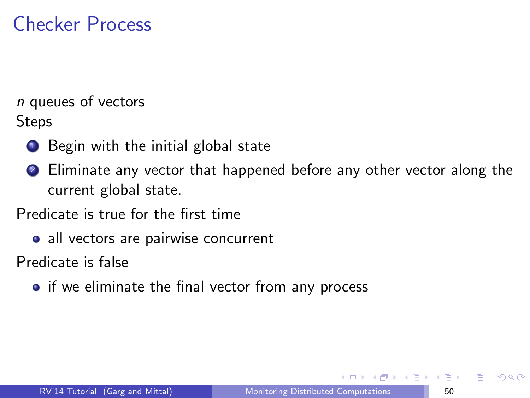## Checker Process

n queues of vectors

Steps

- **1** Begin with the initial global state
- **2** Eliminate any vector that happened before any other vector along the current global state.
- Predicate is true for the first time
	- all vectors are pairwise concurrent

Predicate is false

• if we eliminate the final vector from any process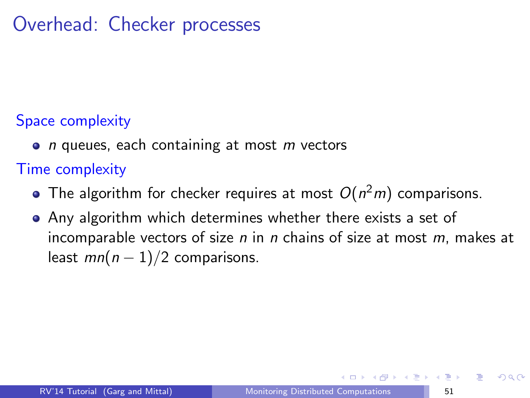## Overhead: Checker processes

#### Space complexity

 $\bullet$  n queues, each containing at most m vectors

#### Time complexity

- The algorithm for checker requires at most  $O(n^2m)$  comparisons.
- Any algorithm which determines whether there exists a set of incomparable vectors of size  $n$  in  $n$  chains of size at most  $m$ , makes at least  $mn(n - 1)/2$  comparisons.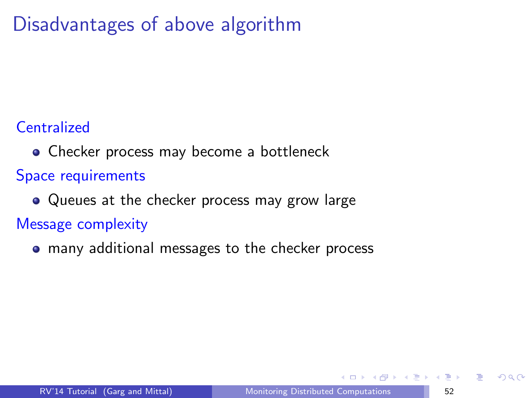## Disadvantages of above algorithm

#### **Centralized**

• Checker process may become a bottleneck

#### Space requirements

• Queues at the checker process may grow large

#### Message complexity

many additional messages to the checker process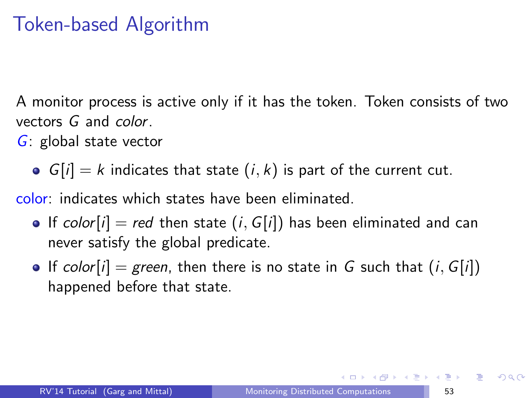## Token-based Algorithm

A monitor process is active only if it has the token. Token consists of two vectors G and color.

- G: global state vector
	- $G[i] = k$  indicates that state  $(i, k)$  is part of the current cut.

color: indicates which states have been eliminated.

- If color[i] = red then state  $(i, G[i])$  has been eliminated and can never satisfy the global predicate.
- If color[i] = green, then there is no state in G such that  $(i, G[i])$ happened before that state.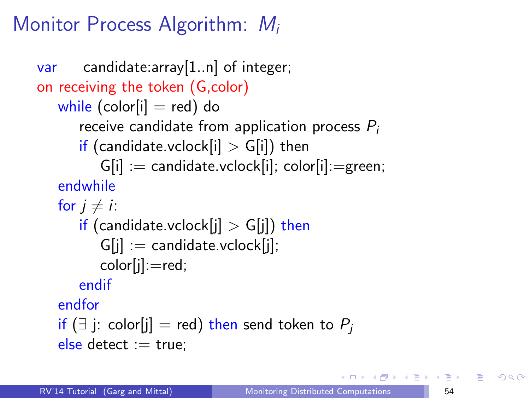## Monitor Process Algorithm: M<sub>i</sub>

```
var candidate: array [1..n] of integer;
on receiving the token (G,color)
   while (color[i] = red) do
      receive candidate from application process P_iif (candidate.vclock[i] > G[i]) then
         G[i] := candidate.vclock[i]; color[i]:=green;
   endwhile
   for i \neq i:
      if (candidate.vclock[j] > G[j]) then
         G[i] := candidate.vclock[i];
         color[j]:=red;
      endif
   endfor
   if (∃ j: color[j] = red) then send token to P_ielse detect := true;
```
 $A \equiv A$   $B \equiv A \cap A$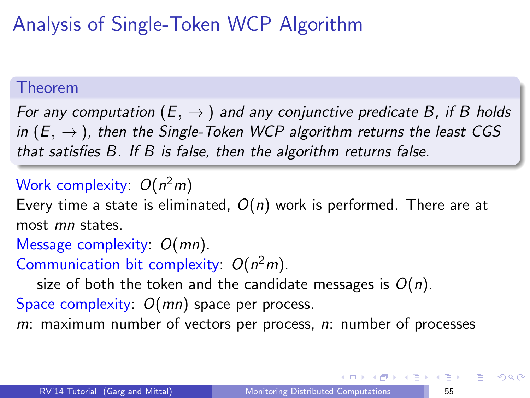## Analysis of Single-Token WCP Algorithm

#### Theorem

For any computation  $(E, \rightarrow)$  and any conjunctive predicate B, if B holds in  $(E, \rightarrow)$ , then the Single-Token WCP algorithm returns the least CGS that satisfies B. If B is false, then the algorithm returns false.

### Work complexity:  $O(n^2m)$

Every time a state is eliminated,  $O(n)$  work is performed. There are at most *mn* states.

Message complexity: O(mn).

Communication bit complexity:  $O(n^2m)$ .

size of both the token and the candidate messages is  $O(n)$ .

Space complexity:  $O(mn)$  space per process.

 $m:$  maximum number of vectors per process,  $n:$  number of processes

 $\Omega$ 

KOD KARD KED KED E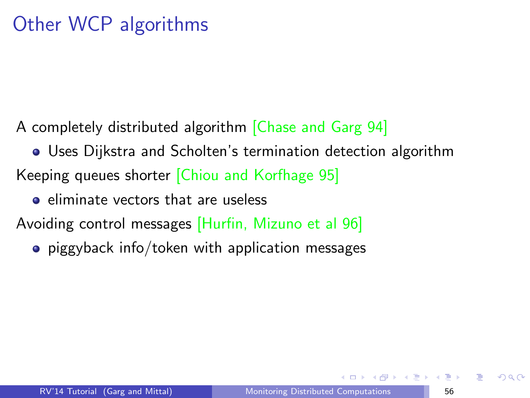## Other WCP algorithms

A completely distributed algorithm [Chase and Garg 94]

Uses Dijkstra and Scholten's termination detection algorithm

Keeping queues shorter [Chiou and Korfhage 95]

• eliminate vectors that are useless

Avoiding control messages [Hurfin, Mizuno et al 96]

**•** piggyback info/token with application messages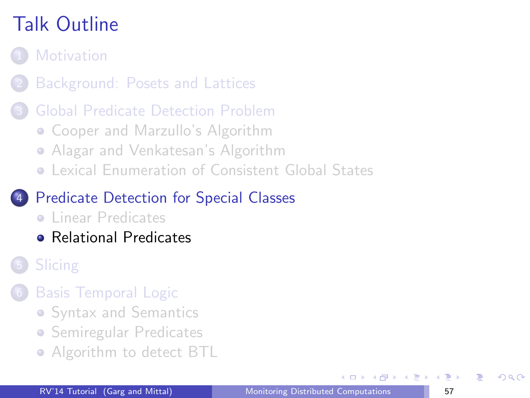# Talk Outline

- **[Motivation](#page-1-0)**
- 2 [Background: Posets and Lattices](#page-5-0)
- **[Global Predicate Detection Problem](#page-17-0)** 
	- [Cooper and Marzullo's Algorithm](#page-24-0)
	- [Alagar and Venkatesan's Algorithm](#page-28-0)
	- **[Lexical Enumeration of Consistent Global States](#page-29-0)**
- 4 [Predicate Detection for Special Classes](#page-36-0)
	- **o** [Linear Predicates](#page-39-0)
	- **[Relational Predicates](#page-58-0)**

### **[Slicing](#page-72-0)**

### 6 [Basis Temporal Logic](#page-72-0)

- [Syntax and Semantics](#page-74-0)
- **[Semiregular Predicates](#page-80-0)**
- [Algorithm to detect BTL](#page-84-0)

<span id="page-58-0"></span>つひひ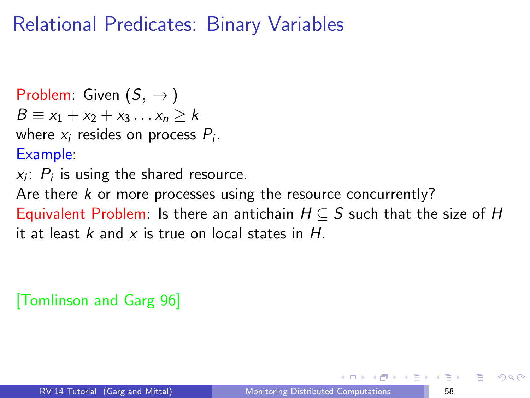### Relational Predicates: Binary Variables

Problem: Given  $(S, \rightarrow)$  $B \equiv x_1 + x_2 + x_3 \ldots x_n \ge k$ where  $x_i$  resides on process  $P_i$ . Example:

 $x_i$ :  $P_i$  is using the shared resource.

Are there  $k$  or more processes using the resource concurrently? Equivalent Problem: Is there an antichain  $H \subseteq S$  such that the size of H it at least k and x is true on local states in H.

[Tomlinson and Garg 96]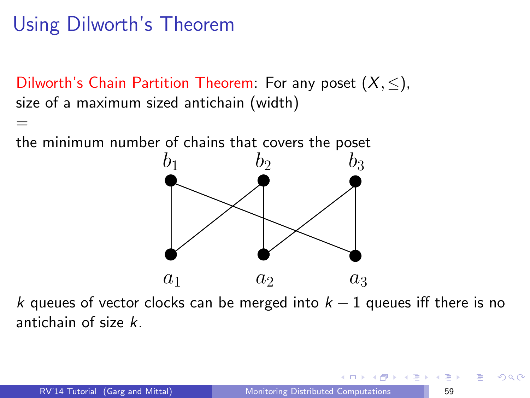# Using Dilworth's Theorem

=

Dilworth's Chain Partition Theorem: For any poset  $(X, \leq),$ size of a maximum sized antichain (width)

the minimum number of chains that covers the poset



k queues of vector clocks can be merged into  $k - 1$  queues iff there is no antichain of size k.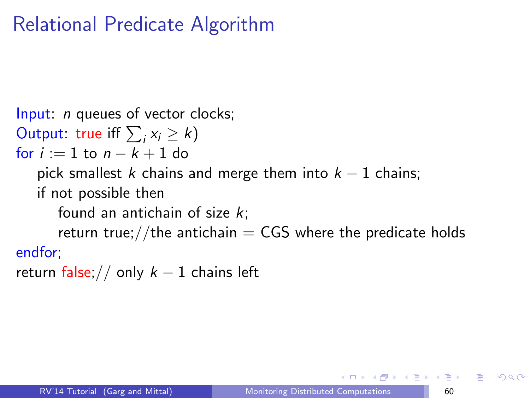## Relational Predicate Algorithm

Input: n queues of vector clocks; Output: true iff  $\sum_i x_i \ge k$ ) for  $i := 1$  to  $n - k + 1$  do pick smallest k chains and merge them into  $k - 1$  chains; if not possible then found an antichain of size  $k$ ; return true;//the antichain  $=$  CGS where the predicate holds endfor;

return false; // only  $k - 1$  chains left

不是 医心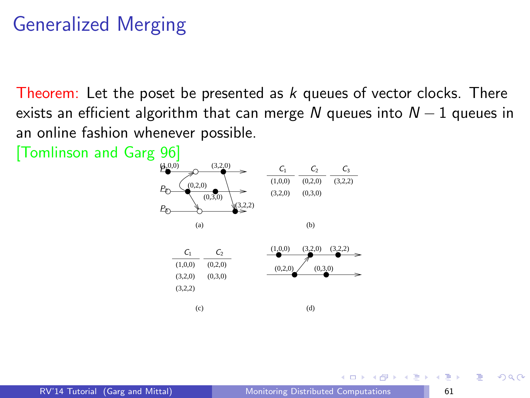## Generalized Merging

Theorem: Let the poset be presented as  $k$  queues of vector clocks. There exists an efficient algorithm that can merge N queues into  $N-1$  queues in an online fashion whenever possible.

[Tomlinson and Garg 96]



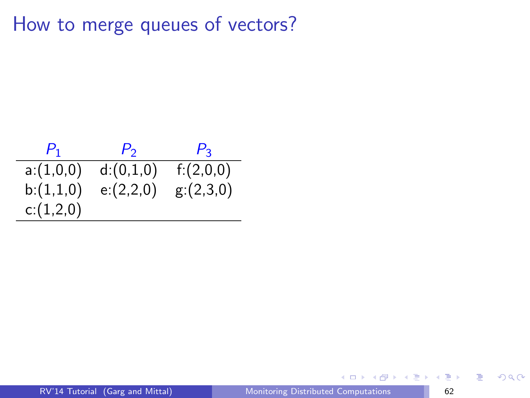How to merge queues of vectors?

$$
\begin{array}{cc}\nP_1 & P_2 & P_3 \\
\hline\na:(1,0,0) & d:(0,1,0) & f:(2,0,0) \\
b:(1,1,0) & e:(2,2,0) & g:(2,3,0) \\
c:(1,2,0)\n\end{array}
$$

4 D F

K個→ K 目→ K 目→ 一目 → の Q Q →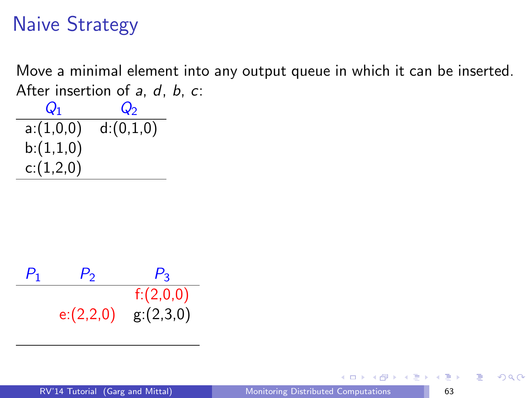## Naive Strategy

Move a minimal element into any output queue in which it can be inserted. After insertion of  $a, d, b, c$ :

 $Q_1$   $Q_2$ a:(1,0,0) d:(0,1,0) b:(1,1,0) c:(1,2,0)

$$
\begin{array}{cc}\nP_1 & P_2 & P_3 \\
\hline\n & f:(2,0,0) \\
\hline\n & e:(2,2,0) & g:(2,3,0)\n\end{array}
$$

 $\mathbb{B}$  is

画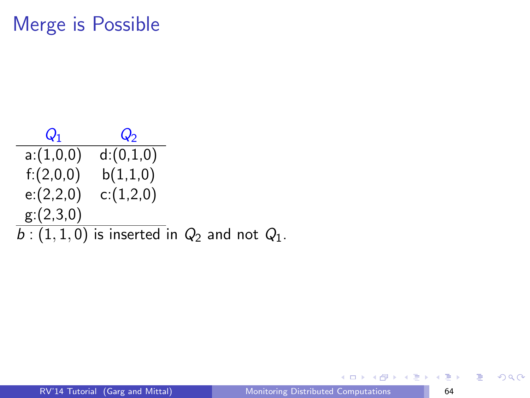## Merge is Possible



4 D F

 $\mathbb{B}$  is

画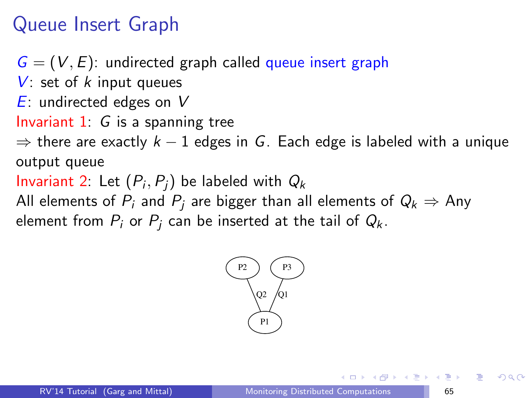## Queue Insert Graph

 $G = (V, E)$ : undirected graph called queue insert graph

- $V$ : set of k input queues
- $E$ : undirected edges on V
- Invariant  $1: G$  is a spanning tree
- $\Rightarrow$  there are exactly k 1 edges in G. Each edge is labeled with a unique output queue
- Invariant 2: Let  $(P_i,P_j)$  be labeled with  $Q_k$
- All elements of  $P_i$  and  $P_i$  are bigger than all elements of  $Q_k \Rightarrow$  Any element from  $P_i$  or  $P_i$  can be inserted at the tail of  $Q_k$ .



**A Braker**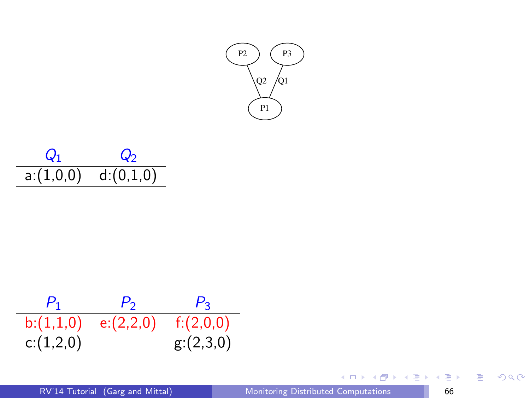

$$
\begin{array}{c|cc}\nQ_1 & Q_2 \\
\hline\na:(1,0,0) & d:(0,1,0)\n\end{array}
$$

$$
\begin{array}{c|cc}\nP_1 & P_2 & P_3 \\
\hline\n\mathbf{b}: (1,1,0) & \mathbf{e}: (2,2,0) & f: (2,0,0) \\
\mathbf{c}: (1,2,0) & \mathbf{g}: (2,3,0)\n\end{array}
$$

<span id="page-67-0"></span>

イロト (個) (量) (量) (量) 量 のQQ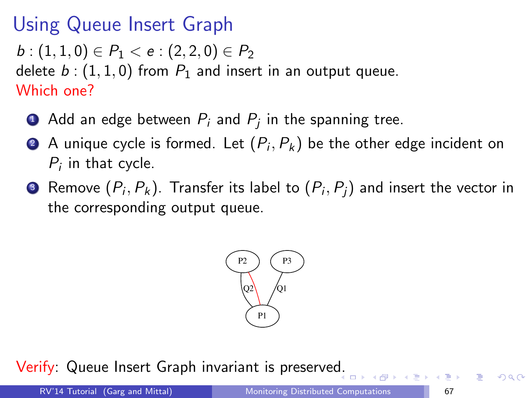## Using Queue Insert Graph

 $b:(1,1,0) \in P_1 < e:(2,2,0) \in P_2$ delete  $b: (1, 1, 0)$  from  $P_1$  and insert in an output queue. Which one?

- $\bullet$  Add an edge between  $P_i$  and  $P_j$  in the spanning tree.
- $\bullet$  A unique cycle is formed. Let  $(P_i,P_k)$  be the other edge incident on  $P_i$  in that cycle.
- $\bullet$  Remove  $(P_i,P_k)$ . Transfer its label to  $(P_i,P_j)$  and insert the vector in the corresponding output queue.



Verify: Queue Insert Graph invariant is preserve[d.](#page-67-0)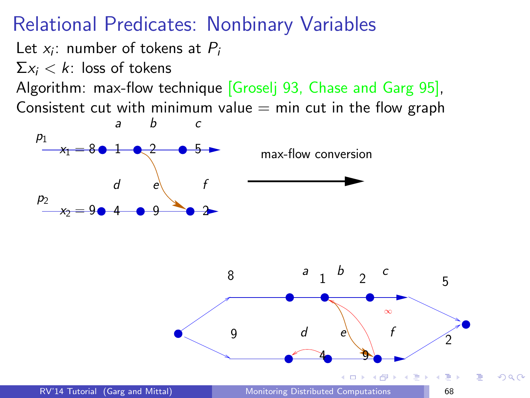## Relational Predicates: Nonbinary Variables

Let  $x_i$ : number of tokens at  $P_i$ 

 $\sum x_i < k$ : loss of tokens

Algorithm: max-flow technique [Groselj 93, Chase and Garg 95], Consistent cut with minimum value  $=$  min cut in the flow graph

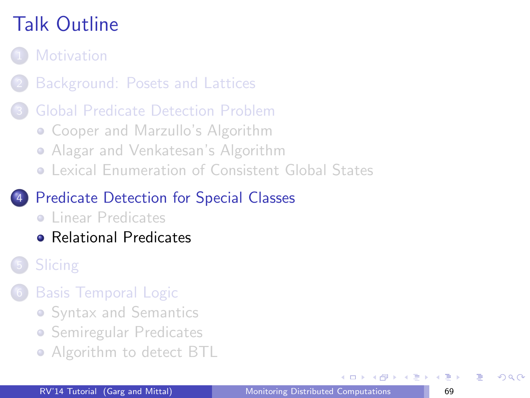# Talk Outline

#### **[Motivation](#page-1-0)**

- 2 [Background: Posets and Lattices](#page-5-0)
- **[Global Predicate Detection Problem](#page-17-0)** 
	- [Cooper and Marzullo's Algorithm](#page-24-0)
	- [Alagar and Venkatesan's Algorithm](#page-28-0)
	- **[Lexical Enumeration of Consistent Global States](#page-29-0)**
- 4 [Predicate Detection for Special Classes](#page-36-0)
	- **o** [Linear Predicates](#page-39-0)
	- **[Relational Predicates](#page-58-0)**

### **[Slicing](#page-72-0)**

### 6 [Basis Temporal Logic](#page-72-0)

- [Syntax and Semantics](#page-74-0)
- **[Semiregular Predicates](#page-80-0)**
- [Algorithm to detect BTL](#page-84-0)

つひひ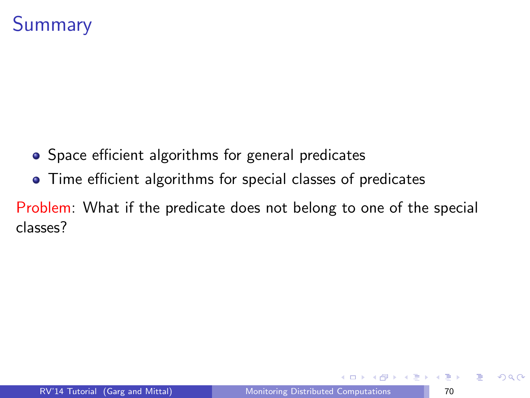## **Summary**

- Space efficient algorithms for general predicates
- Time efficient algorithms for special classes of predicates

Problem: What if the predicate does not belong to one of the special classes?

画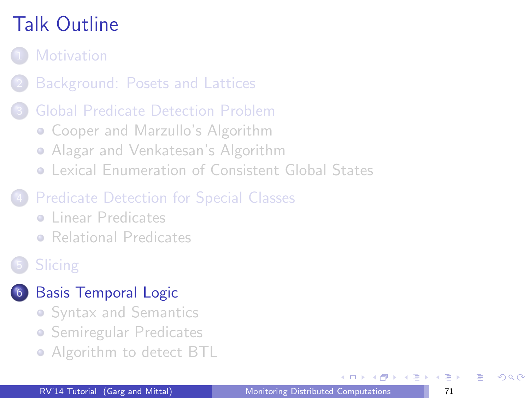# Talk Outline

### **[Motivation](#page-1-0)**

- 2 [Background: Posets and Lattices](#page-5-0)
- **[Global Predicate Detection Problem](#page-17-0)** 
	- [Cooper and Marzullo's Algorithm](#page-24-0)
	- [Alagar and Venkatesan's Algorithm](#page-28-0)
	- **[Lexical Enumeration of Consistent Global States](#page-29-0)**
- **[Predicate Detection for Special Classes](#page-36-0)** 
	- **Collinear Predicates**
	- **[Relational Predicates](#page-58-0)**

### **[Slicing](#page-72-0)**

### 6 [Basis Temporal Logic](#page-72-0)

- [Syntax and Semantics](#page-74-0)
- **[Semiregular Predicates](#page-80-0)**
- [Algorithm to detect BTL](#page-84-0)

<span id="page-72-0"></span>つひひ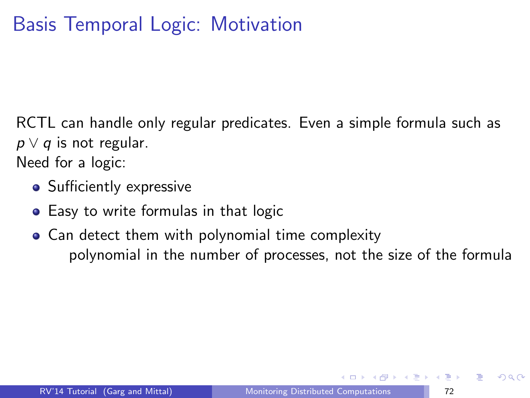RCTL can handle only regular predicates. Even a simple formula such as  $p \vee q$  is not regular.

Need for a logic:

- **•** Sufficiently expressive
- Easy to write formulas in that logic
- Can detect them with polynomial time complexity polynomial in the number of processes, not the size of the formula

 $QQQ$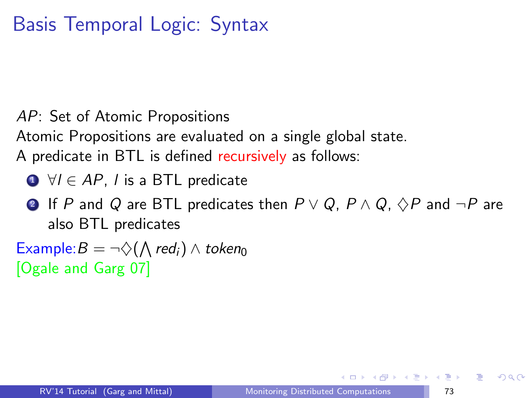# Basis Temporal Logic: Syntax

AP: Set of Atomic Propositions

Atomic Propositions are evaluated on a single global state.

A predicate in BTL is defined recursively as follows:

- $\bigcirc$   $\forall l \in AP$ , *l* is a BTL predicate
- **4** If P and Q are BTL predicates then  $P \lor Q$ ,  $P \land Q$ ,  $\Diamond P$  and  $\neg P$  are also BTL predicates

Example:  $B = \neg \diamondsuit(\bigwedge \mathit{red}_i) \wedge \mathit{token}_0$ [Ogale and Garg 07]

<span id="page-74-0"></span>**REAL**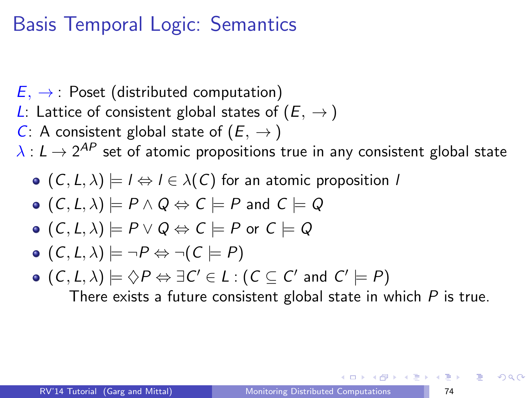### Basis Temporal Logic: Semantics

 $E, \rightarrow$ : Poset (distributed computation)

- L: Lattice of consistent global states of  $(E, \rightarrow)$
- C: A consistent global state of  $(E, \rightarrow)$

 $\lambda: L \rightarrow 2^\textit{AP}$  set of atomic propositions true in any consistent global state

- $\bullet$   $(C, L, \lambda) \models l \Leftrightarrow l \in \lambda(C)$  for an atomic proposition l
- $\bullet$   $(C, L, \lambda) \models P \land Q \Leftrightarrow C \models P$  and  $C \models Q$
- $\bullet$   $(C, L, \lambda) \models P \vee Q \Leftrightarrow C \models P$  or  $C \models Q$

$$
\bullet \ (C, L, \lambda) \models \neg P \Leftrightarrow \neg (C \models P)
$$

 $(C, L, \lambda) \models \Diamond P \Leftrightarrow \exists C' \in L : (C \subseteq C' \text{ and } C' \models P)$ 

There exists a future consistent global state in which P is true.

 $\overline{AB}$   $\rightarrow$   $\overline{AB}$   $\rightarrow$   $\overline{AB}$   $\rightarrow$   $\overline{AB}$   $\rightarrow$   $\overline{BA}$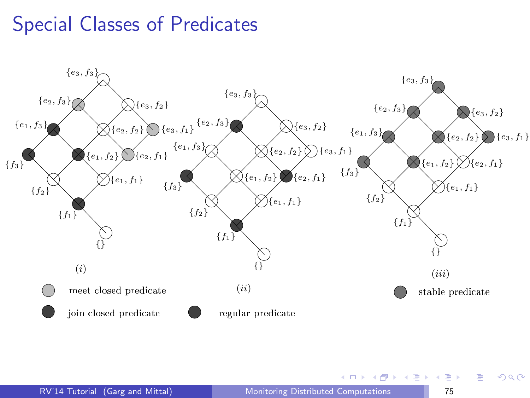### Special Classes of Predicates

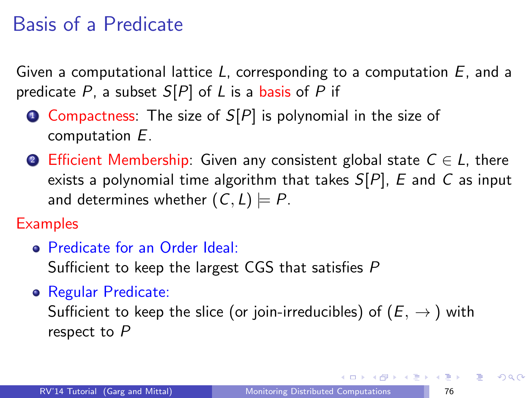### Basis of a Predicate

Given a computational lattice L, corresponding to a computation  $E$ , and a predicate P, a subset  $S[P]$  of L is a basis of P if

- **4 Compactness:** The size of  $S[P]$  is polynomial in the size of computation E.
- **2** Efficient Membership: Given any consistent global state  $C \in L$ , there exists a polynomial time algorithm that takes  $S[P]$ , E and C as input and determines whether  $(C, L) \models P$ .

### **Examples**

Predicate for an Order Ideal:

Sufficient to keep the largest CGS that satisfies P

Regular Predicate:

Sufficient to keep the slice (or join-irreducibles) of  $(E, \rightarrow)$  with respect to P

**KORKA ERKER ADA YOUR**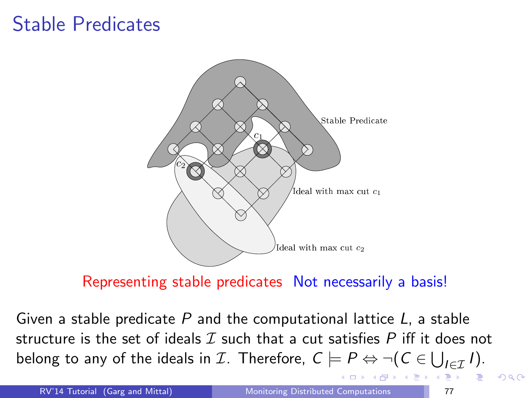### Stable Predicates



Representing stable predicates Not necessarily a basis!

Given a stable predicate  $P$  and the computational lattice  $L$ , a stable structure is the set of ideals  $\mathcal I$  such that a cut satisfies P iff it does not belong to any of the ideals in  $\mathcal I.$  $\mathcal I.$  $\mathcal I.$  Therefore,  $\mathcal C\models P \Leftrightarrow \neg(C\in \bigcup_{I\in \mathcal I} I).$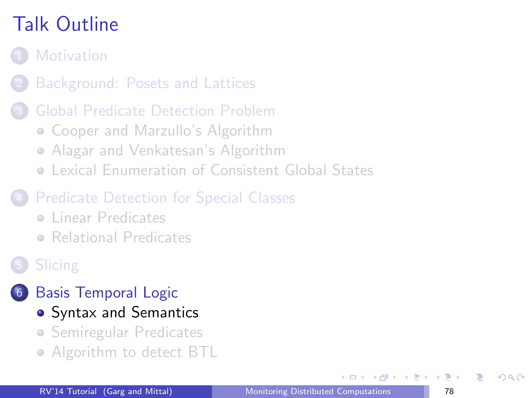# Talk Outline

- **[Motivation](#page-1-0)**
- 2 [Background: Posets and Lattices](#page-5-0)
- **[Global Predicate Detection Problem](#page-17-0)** 
	- [Cooper and Marzullo's Algorithm](#page-24-0)
	- [Alagar and Venkatesan's Algorithm](#page-28-0)
	- **[Lexical Enumeration of Consistent Global States](#page-29-0)**
- **[Predicate Detection for Special Classes](#page-36-0)** 
	- **Collinear Predicates**
	- **[Relational Predicates](#page-58-0)**

### **[Slicing](#page-72-0)**

### 6 [Basis Temporal Logic](#page-72-0)

- [Syntax and Semantics](#page-74-0)
- **[Semiregular Predicates](#page-80-0)**
- [Algorithm to detect BTL](#page-84-0)

つひひ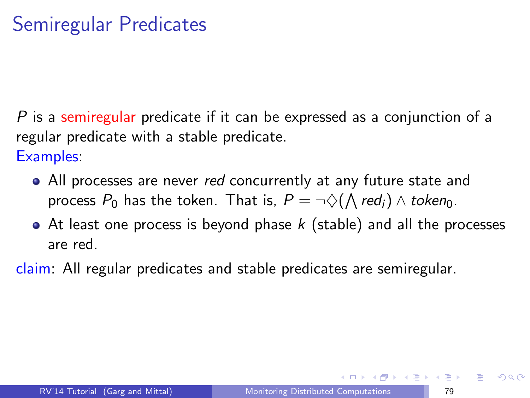P is a semiregular predicate if it can be expressed as a conjunction of a regular predicate with a stable predicate. Examples:

- All processes are never red concurrently at any future state and process  $P_0$  has the token. That is,  $P=\neg \diamondsuit(\bigwedge\limits rel_i)\wedge t$ oken $_0.$
- $\bullet$  At least one process is beyond phase k (stable) and all the processes are red.

claim: All regular predicates and stable predicates are semiregular.

<span id="page-80-0"></span>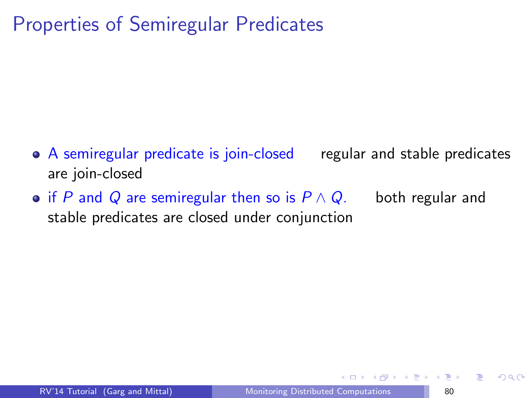### Properties of Semiregular Predicates

- A semiregular predicate is join-closed regular and stable predicates are join-closed
- if P and Q are semiregular then so is  $P \wedge Q$ . both regular and stable predicates are closed under conjunction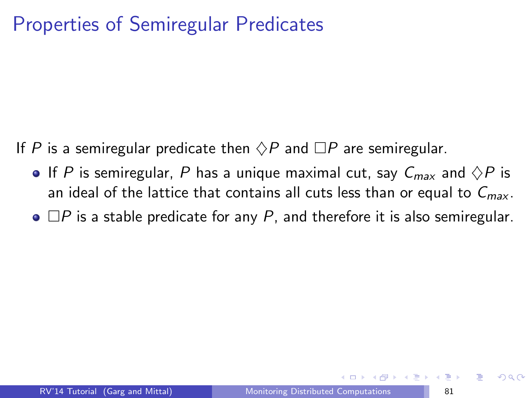### Properties of Semiregular Predicates

If P is a semiregular predicate then  $\Diamond P$  and  $\Box P$  are semiregular.

- If P is semiregular, P has a unique maximal cut, say  $C_{max}$  and  $\Diamond P$  is an ideal of the lattice that contains all cuts less than or equal to  $C_{max}$ .
- $\bullet \Box P$  is a stable predicate for any P, and therefore it is also semiregular.

 $200$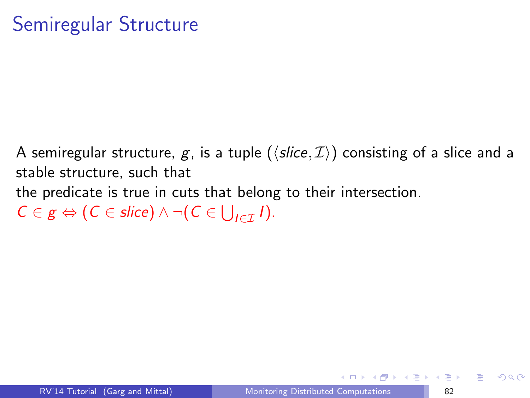A semiregular structure, g, is a tuple  $(\langle$ slice,  $\mathcal{I}\rangle)$  consisting of a slice and a stable structure, such that the predicate is true in cuts that belong to their intersection.  $C \in g \Leftrightarrow (C \in slice) \land \neg (C \in \bigcup_{I \in \mathcal{I}} I).$ 

Box 11

 $\equiv$   $\Omega$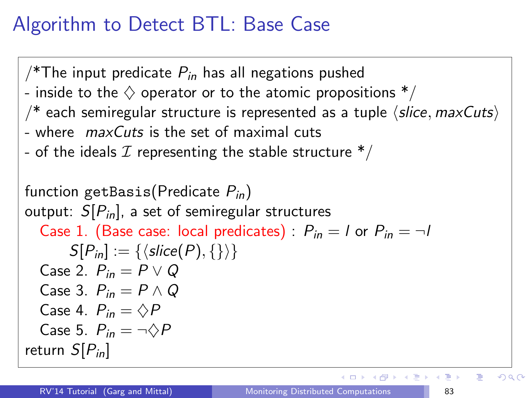# Algorithm to Detect BTL: Base Case

```
/*The input predicate P_{in} has all negations pushed
- inside to the \diamondsuit operator or to the atomic propositions d/* each semiregular structure is represented as a tuple \langle slice, maxCuts\rangle- where maxCuts is the set of maximal cuts
- of the ideals I representing the stable structure */function getBasis(Predicate P_{in})
output: S[P_{in}], a set of semiregular structures
  Case 1. (Base case: local predicates) : P_{in} = 1 or P_{in} = -1S[P_{in}] := \{\langle \mathit{slice}(P), \{\} \rangle\}Case 2. P_{in} = P \vee QCase 3. P_{in} = P \wedge QCase 4. P_{in} = \Diamond PCase 5. P_{in} = \neg \Diamond Preturn S[P_{in}]
```
G.

<span id="page-84-0"></span> $QQQ$ 

∢何 ▶ ∢ ヨ ▶ ∢ ヨ ▶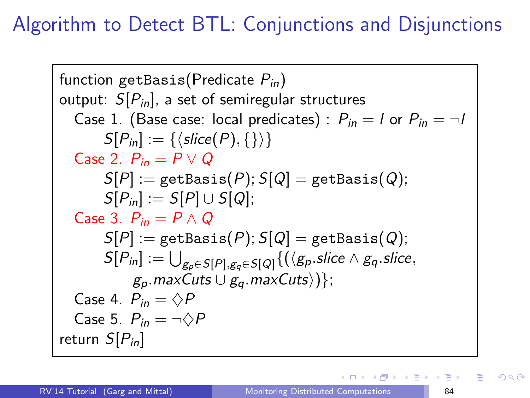# Algorithm to Detect BTL: Conjunctions and Disjunctions

function getBasis(Predicte 
$$
P_{in}
$$
)  
\noutput:  $S[P_{in}]$ , a set of semiregular structures  
\nCase 1. (Base case: local predicates) :  $P_{in} = I$  or  $P_{in} = \neg I$   
\n $S[P_{in}] := \{ \langle slice(P), \{\} \rangle \}$   
\nCase 2.  $P_{in} = P \lor Q$   
\n $S[P] := getBasis(P); S[Q] = getBasis(Q);$   
\n $S[P_{in}] := S[P] \cup S[Q];$   
\nCase 3.  $P_{in} = P \land Q$   
\n $S[P] := getBasis(P); S[Q] = getBasis(Q);$   
\n $S[P_{in}] := \bigcup_{g_p \in S[P], g_q \in S[Q]} \{ (\langle g_p.size \land g_q.size, g_p.maxCuts \rangle) \};$   
\nCase 4.  $P_{in} = \Diamond P$   
\nCase 5.  $P_{in} = \neg \Diamond P$   
\nreturn  $S[P_{in}]$ 

÷,

 $298$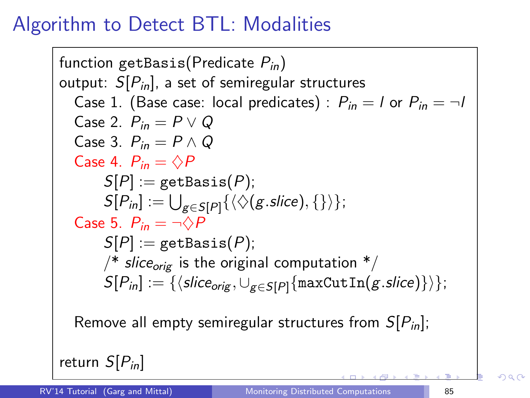# Algorithm to Detect BTL: Modalities

```
function getBasis(Predicate P_{in})
output: S[P_{in}], a set of semiregular structures
   Case 1. (Base case: local predicates) : P_{in} = 1 or P_{in} = -1Case 2. P_{in} = P \vee QCase 3. P_{in} = P \wedge QCase 4. P_{in} = \Diamond PS[P] := getBasis(P);
          \mathcal{S}[P_{\textit{in}}] := \bigcup_{g \in \mathcal{S}[P]}\{\langle \Diamond(g\textit{.slice}), \{\} \rangle\};Case 5. P_{in} = \neg \Diamond PS[P] := \texttt{getBasis}(P);/* slice<sub>orig</sub> is the original computation */
         S[P_{in}] := {\langle \langle \textit{slice}_{\textit{orig}} , \cup_{g \in S[P]} \{\texttt{maxCutIn}(g.\textit{slice}) \} \rangle \};Remove all empty semiregular structures from S[P_{in}];return S[P_{in}]
```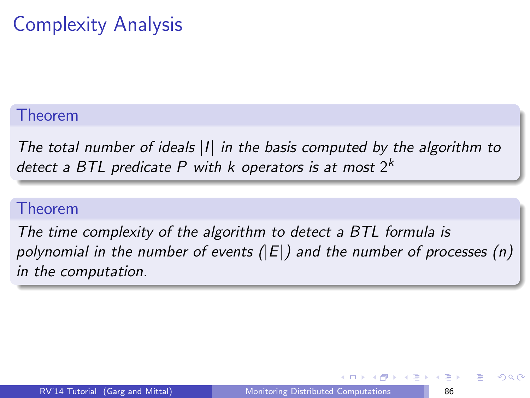# Complexity Analysis

#### Theorem

The total number of ideals  $|I|$  in the basis computed by the algorithm to detect a BTL predicate P with k operators is at most  $2^k$ 

#### Theorem

The time complexity of the algorithm to detect a BTL formula is polynomial in the number of events  $(|E|)$  and the number of processes  $(n)$ in the computation.

 $QQ$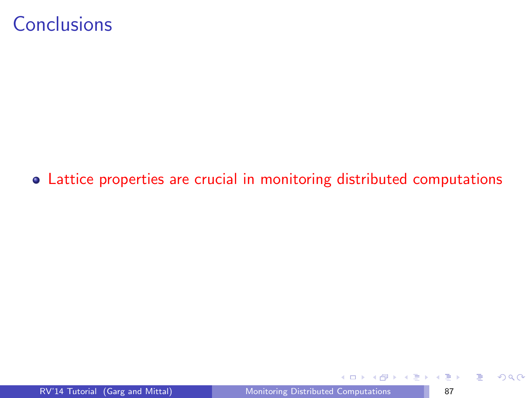### **Conclusions**

Lattice properties are crucial in monitoring distributed computations

4 D F

 $\Rightarrow$  $\prec$ 

→ 4 B

÷.

 $QQ$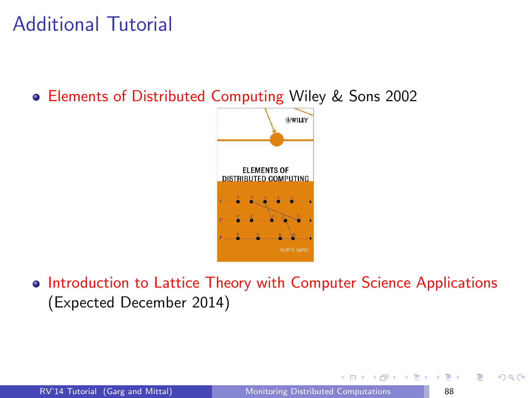### Additional Tutorial

Elements of Distributed Computing Wiley & Sons 2002



• Introduction to Lattice Theory with Computer Science Applications (Expected December 2014)

∍∍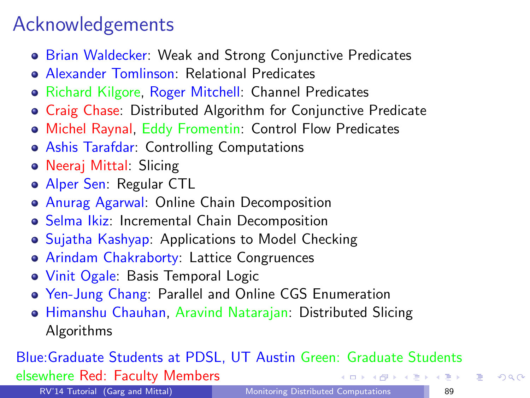### Acknowledgements

- **Brian Waldecker: Weak and Strong Conjunctive Predicates**
- **Alexander Tomlinson**: Relational Predicates
- Richard Kilgore, Roger Mitchell: Channel Predicates
- Craig Chase: Distributed Algorithm for Conjunctive Predicate
- Michel Raynal, Eddy Fromentin: Control Flow Predicates
- Ashis Tarafdar: Controlling Computations
- **Neeraj Mittal: Slicing**
- Alper Sen: Regular CTL
- Anurag Agarwal: Online Chain Decomposition
- **o** Selma Ikiz: Incremental Chain Decomposition
- Sujatha Kashyap: Applications to Model Checking
- Arindam Chakraborty: Lattice Congruences
- Vinit Ogale: Basis Temporal Logic
- Yen-Jung Chang: Parallel and Online CGS Enumeration
- Himanshu Chauhan, Aravind Natarajan: Distributed Slicing Algorithms

#### Blue:Graduate Students at PDSL, UT Austin Green: Graduate Students elsewhere Red: Faculty Members  $\blacksquare$   $\blacksquare$   $\blacksquare$   $\blacksquare$   $\blacksquare$   $\blacksquare$   $\blacksquare$   $\blacksquare$ Box 11

RV'14 Tutorial (Garg and Mittal) [Monitoring Distributed Computations](#page-0-0) 89

 $QQ$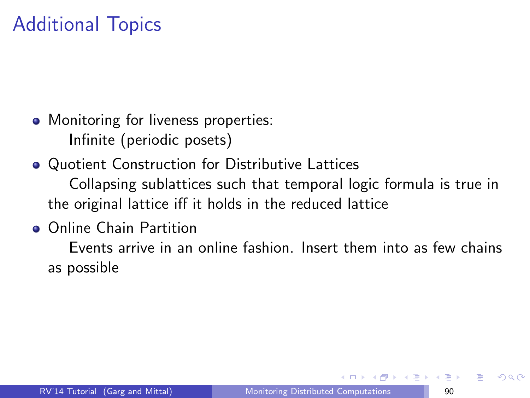### Additional Topics

- Monitoring for liveness properties: Infinite (periodic posets)
- **Quotient Construction for Distributive Lattices** Collapsing sublattices such that temporal logic formula is true in the original lattice iff it holds in the reduced lattice
- **Online Chain Partition**

Events arrive in an online fashion. Insert them into as few chains as possible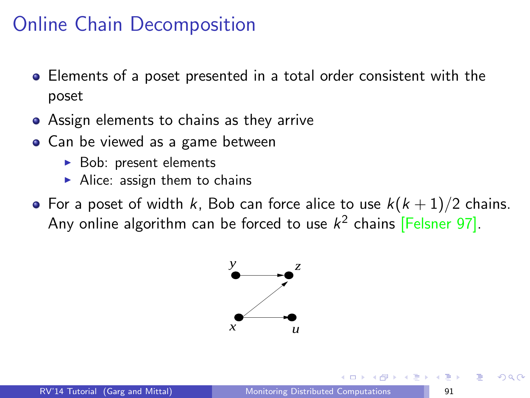### Online Chain Decomposition

- Elements of a poset presented in a total order consistent with the poset
- Assign elements to chains as they arrive
- Can be viewed as a game between
	- $\blacktriangleright$  Bob: present elements
	- $\blacktriangleright$  Alice: assign them to chains
- For a poset of width k, Bob can force alice to use  $k(k + 1)/2$  chains. Any online algorithm can be forced to use  $k^2$  chains [Felsner 97].



 $200$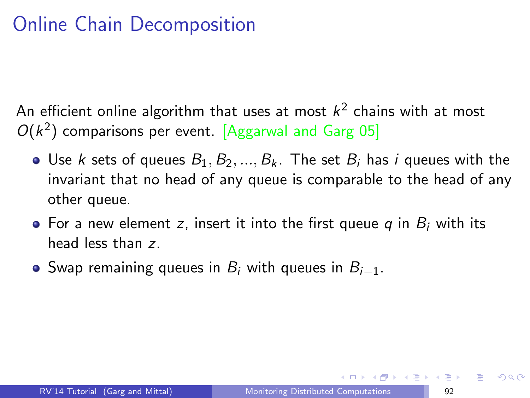### Online Chain Decomposition

An efficient online algorithm that uses at most  $\mathit{k}^{2}$  chains with at most  $O(k^2)$  comparisons per event. [Aggarwal and Garg 05]

- Use k sets of queues  $B_1, B_2, ..., B_k$ . The set  $B_i$  has i queues with the invariant that no head of any queue is comparable to the head of any other queue.
- $\bullet$  For a new element z, insert it into the first queue q in  $B_i$  with its head less than z.
- $\bullet$  Swap remaining queues in B<sub>i</sub> with queues in B<sub>i−1</sub>.

**REAL**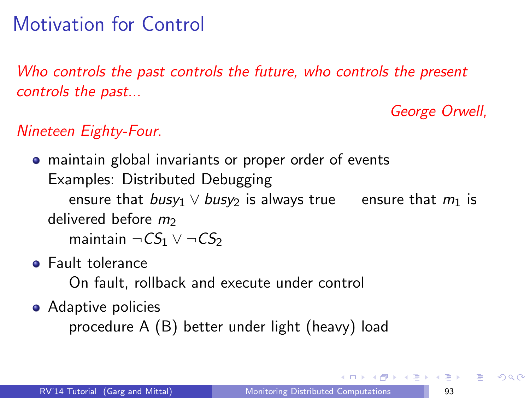# Motivation for Control

Who controls the past controls the future, who controls the present controls the past...

George Orwell,

### Nineteen Eighty-Four.

- maintain global invariants or proper order of events Examples: Distributed Debugging ensure that  $busy_1 \vee busy_2$  is always true ensure that  $m_1$  is delivered before  $m<sub>2</sub>$ maintain  $\neg CS_1 \vee \neg CS_2$
- **•** Fault tolerance

On fault, rollback and execute under control

**•** Adaptive policies

procedure A (B) better under light (heavy) load

一本 語 (を) …

 $QQ$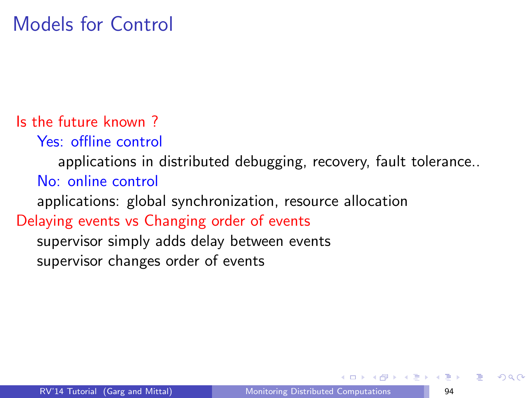### Models for Control

### Is the future known ?

Yes: offline control

applications in distributed debugging, recovery, fault tolerance.. No: online control

applications: global synchronization, resource allocation

### Delaying events vs Changing order of events

supervisor simply adds delay between events supervisor changes order of events

 $200$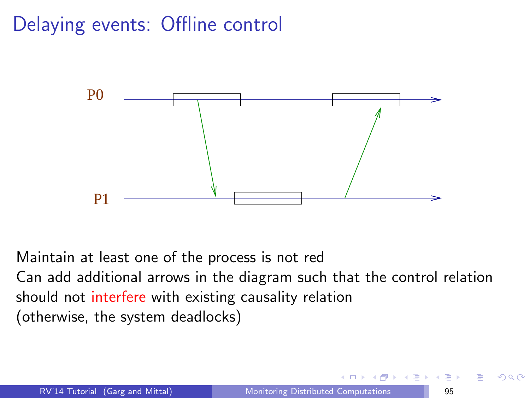## Delaying events: Offline control



Maintain at least one of the process is not red Can add additional arrows in the diagram such that the control relation should not interfere with existing causality relation (otherwise, the system deadlocks)

つひひ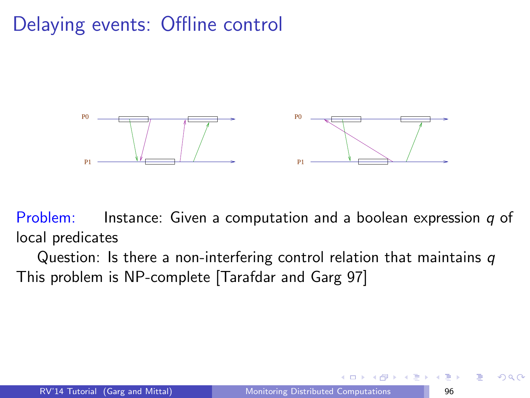### Delaying events: Offline control



Problem: Instance: Given a computation and a boolean expression q of local predicates

Question: Is there a non-interfering control relation that maintains  $q$ This problem is NP-complete [Tarafdar and Garg 97]